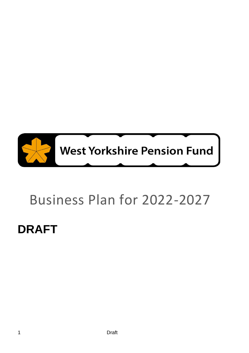

## Business Plan for 2022-2027

## **DRAFT**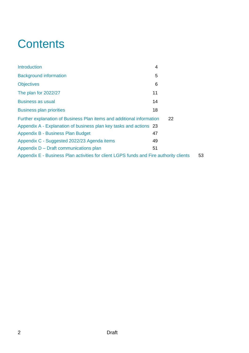## **Contents**

| Introduction                                                                           | 4  |
|----------------------------------------------------------------------------------------|----|
| <b>Background information</b>                                                          | 5  |
| <b>Objectives</b>                                                                      | 6  |
| The plan for 2022/27                                                                   | 11 |
| <b>Business as usual</b>                                                               | 14 |
| <b>Business plan priorities</b>                                                        | 18 |
| Further explanation of Business Plan items and additional information                  | 22 |
| Appendix A - Explanation of business plan key tasks and actions 23                     |    |
| Appendix B - Business Plan Budget                                                      | 47 |
| Appendix C - Suggested 2022/23 Agenda items                                            | 49 |
| Appendix D – Draft communications plan                                                 | 51 |
| Appendix E - Business Plan activities for client LGPS funds and Fire authority clients | 53 |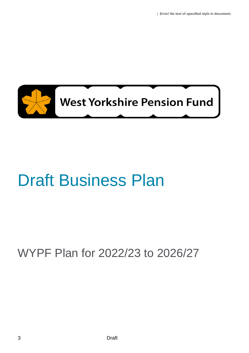

## Draft Business Plan

## WYPF Plan for 2022/23 to 2026/27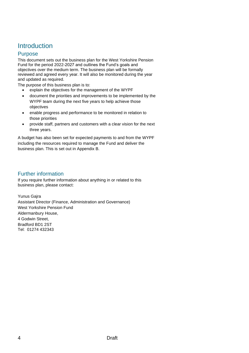## <span id="page-3-0"></span>**Introduction**

#### Purpose

This document sets out the business plan for the West Yorkshire Pension Fund for the period 2022-2027 and outlines the Fund's goals and objectives over the medium term. The business plan will be formally reviewed and agreed every year. It will also be monitored during the year and updated as required.

The purpose of this business plan is to:

- explain the objectives for the management of the WYPF
- document the priorities and improvements to be implemented by the WYPF team during the next five years to help achieve those objectives
- enable progress and performance to be monitored in relation to those priorities
- provide staff, partners and customers with a clear vision for the next three years.

A budget has also been set for expected payments to and from the WYPF including the resources required to manage the Fund and deliver the business plan. This is set out in Appendix B.

#### Further information

If you require further information about anything in or related to this business plan, please contact:

Yunus Gajra Assistant Director (Finance, Administration and Governance) West Yorkshire Pension Fund Aldermanbury House, 4 Godwin Street, Bradford BD1 2ST Tel: 01274 432343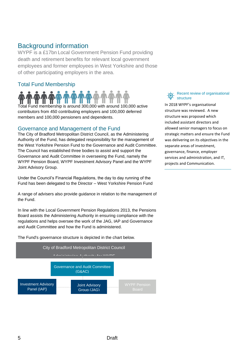## <span id="page-4-0"></span>Background information

WYPF is a £17bn Local Government Pension Fund providing death and retirement benefits for relevant local government employees and former employees in West Yorkshire and those of other participating employers in the area.

### Total Fund Membership

Total Fund membership is around 300,000 with around 100,000 active contributors from 450 contributing employers and 100,000 deferred members and 100,000 pensioners and dependents.

#### Governance and Management of the Fund

The City of Bradford Metropolitan District Council, as the Administering Authority of the Fund, has delegated responsibility for the management of the West Yorkshire Pension Fund to the Governance and Audit Committee. The Council has established three bodies to assist and support the Governance and Audit Committee in overseeing the Fund, namely the WYPF Pension Board, WYPF Investment Advisory Panel and the WYPF Joint Advisory Group.

Under the Council's Financial Regulations, the day to day running of the Fund has been delegated to the Director – West Yorkshire Pension Fund

A range of advisers also provide guidance in relation to the management of the Fund.

In line with the Local Government Pension Regulations 2013, the Pensions Board assists the Administering Authority in ensuring compliance with the regulations and helps oversee the work of the JAG, IAP and Governance and Audit Committee and how the Fund is administered.

The Fund's governance structure is depicted in the chart below.



Recent review of organisational structure

In 2018 WYPF's organisational structure was reviewed. A new structure was proposed which included assistant directors and allowed senior managers to focus on strategic matters and ensure the Fund was delivering on its objectives in the separate areas of investment, governance, finance, employer services and administration, and IT, projects and Communication.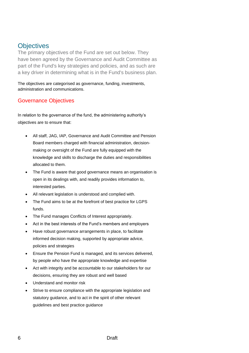## <span id="page-5-0"></span>**Objectives**

The primary objectives of the Fund are set out below. They have been agreed by the Governance and Audit Committee as part of the Fund's key strategies and policies, and as such are a key driver in determining what is in the Fund's business plan.

The objectives are categorised as governance, funding, investments, administration and communications.

### Governance Objectives

In relation to the governance of the fund, the administering authority's objectives are to ensure that:

- All staff, JAG, IAP, Governance and Audit Committee and Pension Board members charged with financial administration, decisionmaking or oversight of the Fund are fully equipped with the knowledge and skills to discharge the duties and responsibilities allocated to them.
- The Fund is aware that good governance means an organisation is open in its dealings with, and readily provides information to, interested parties.
- All relevant legislation is understood and complied with.
- The Fund aims to be at the forefront of best practice for LGPS funds.
- The Fund manages Conflicts of Interest appropriately.
- Act in the best interests of the Fund's members and employers
- Have robust governance arrangements in place, to facilitate informed decision making, supported by appropriate advice, policies and strategies
- Ensure the Pension Fund is managed, and its services delivered, by people who have the appropriate knowledge and expertise
- Act with integrity and be accountable to our stakeholders for our decisions, ensuring they are robust and well based
- Understand and monitor risk
- Strive to ensure compliance with the appropriate legislation and statutory guidance, and to act in the spirit of other relevant guidelines and best practice guidance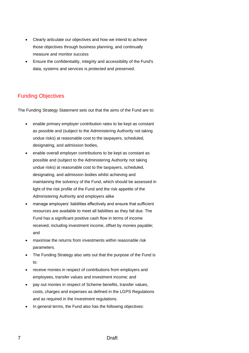- Clearly articulate our objectives and how we intend to achieve those objectives through business planning, and continually measure and monitor success
- Ensure the confidentiality, integrity and accessibility of the Fund's data, systems and services is protected and preserved.

### Funding Objectives

The Funding Strategy Statement sets out that the aims of the Fund are to:

- enable primary employer contribution rates to be kept as constant as possible and (subject to the Administering Authority not taking undue risks) at reasonable cost to the taxpayers, scheduled, designating, and admission bodies,
- enable overall employer contributions to be kept as constant as possible and (subject to the Administering Authority not taking undue risks) at reasonable cost to the taxpayers, scheduled, designating, and admission bodies whilst achieving and maintaining the solvency of the Fund, which should be assessed in light of the risk profile of the Fund and the risk appetite of the Administering Authority and employers alike
- manage employers' liabilities effectively and ensure that sufficient resources are available to meet all liabilities as they fall due. The Fund has a significant positive cash flow in terms of income received, including investment income, offset by monies payable; and
- maximise the returns from investments within reasonable risk parameters.
- The Funding Strategy also sets out that the purpose of the Fund is to:
- receive monies in respect of contributions from employers and employees, transfer values and investment income; and
- pay out monies in respect of Scheme benefits, transfer values, costs, charges and expenses as defined in the LGPS Regulations and as required in the Investment regulations.
- In general terms, the Fund also has the following objectives: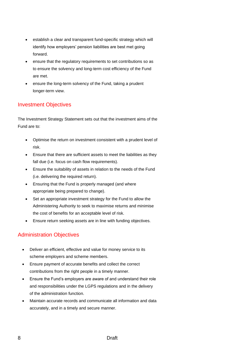- establish a clear and transparent fund-specific strategy which will identify how employers' pension liabilities are best met going forward.
- ensure that the regulatory requirements to set contributions so as to ensure the solvency and long-term cost efficiency of the Fund are met.
- ensure the long-term solvency of the Fund, taking a prudent longer-term view.

### Investment Objectives

The Investment Strategy Statement sets out that the investment aims of the Fund are to:

- Optimise the return on investment consistent with a prudent level of risk.
- Ensure that there are sufficient assets to meet the liabilities as they fall due (i.e. focus on cash flow requirements).
- Ensure the suitability of assets in relation to the needs of the Fund (i.e. delivering the required return).
- Ensuring that the Fund is properly managed (and where appropriate being prepared to change).
- Set an appropriate investment strategy for the Fund to allow the Administering Authority to seek to maximise returns and minimise the cost of benefits for an acceptable level of risk.
- Ensure return seeking assets are in line with funding objectives.

## Administration Objectives

- Deliver an efficient, effective and value for money service to its scheme employers and scheme members.
- Ensure payment of accurate benefits and collect the correct contributions from the right people in a timely manner.
- Ensure the Fund's employers are aware of and understand their role and responsibilities under the LGPS regulations and in the delivery of the administration function.
- Maintain accurate records and communicate all information and data accurately, and in a timely and secure manner.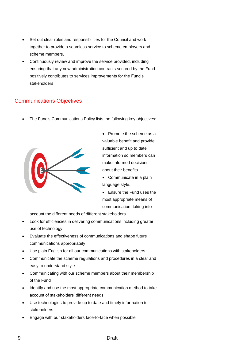- Set out clear roles and responsibilities for the Council and work together to provide a seamless service to scheme employers and scheme members.
- Continuously review and improve the service provided, including ensuring that any new administration contracts secured by the Fund positively contributes to services improvements for the Fund's stakeholders

### Communications Objectives

• The Fund's Communications Policy lists the following key objectives:



• Promote the scheme as a valuable benefit and provide sufficient and up to date information so members can make informed decisions about their benefits.

- Communicate in a plain language style.
- Ensure the Fund uses the most appropriate means of communication, taking into

account the different needs of different stakeholders.

- Look for efficiencies in delivering communications including greater use of technology.
- Evaluate the effectiveness of communications and shape future communications appropriately
- Use plain English for all our communications with stakeholders
- Communicate the scheme regulations and procedures in a clear and easy to understand style
- Communicating with our scheme members about their membership of the Fund
- Identify and use the most appropriate communication method to take account of stakeholders' different needs
- Use technologies to provide up to date and timely information to stakeholders
- Engage with our stakeholders face-to-face when possible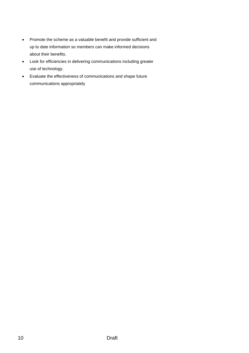- Promote the scheme as a valuable benefit and provide sufficient and up to date information so members can make informed decisions about their benefits.
- Look for efficiencies in delivering communications including greater use of technology.
- Evaluate the effectiveness of communications and shape future communications appropriately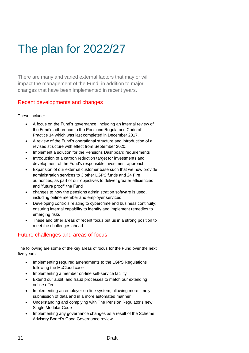## <span id="page-10-0"></span>The plan for 2022/27

There are many and varied external factors that may or will impact the management of the Fund, in addition to major changes that have been implemented in recent years.

#### Recent developments and changes

#### These include:

- A focus on the Fund's governance, including an internal review of the Fund's adherence to the Pensions Regulator's Code of Practice 14 which was last completed in December 2017.
- A review of the Fund's operational structure and introduction of a revised structure with effect from September 2020.
- Implement a solution for the Pensions Dashboard requirements
- Introduction of a carbon reduction target for investments and development of the Fund's responsible investment approach.
- Expansion of our external customer base such that we now provide administration services to 3 other LGPS funds and 24 Fire authorities, as part of our objectives to deliver greater efficiencies and "future proof" the Fund
- changes to how the pensions administration software is used, including online member and employer services
- Developing controls relating to cybercrime and business continuity; ensuring internal capability to identify and implement remedies to emerging risks
- These and other areas of recent focus put us in a strong position to meet the challenges ahead.

### Future challenges and areas of focus

The following are some of the key areas of focus for the Fund over the next five years:

- Implementing required amendments to the LGPS Regulations following the McCloud case
- Implementing a member on-line self-service facility
- Extend our audit, and fraud processes to match our extending online offer
- Implementing an employer on-line system, allowing more timely submission of data and in a more automated manner
- Understanding and complying with The Pension Regulator's new Single Modular Code
- Implementing any governance changes as a result of the Scheme Advisory Board's Good Governance review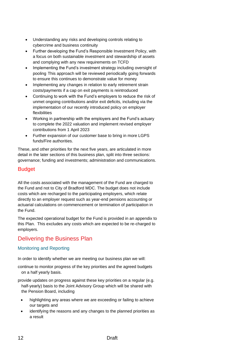- Understanding any risks and developing controls relating to cybercrime and business continuity
- Further developing the Fund's Responsible Investment Policy, with a focus on both sustainable investment and stewardship of assets and complying with any new requirements on TCFD
- Implementing the Fund's investment strategy including oversight of pooling This approach will be reviewed periodically going forwards to ensure this continues to demonstrate value for money
- Implementing any changes in relation to early retirement strain costs/payments if a cap on exit payments is reintroduced
- Continuing to work with the Fund's employers to reduce the risk of unmet ongoing contributions and/or exit deficits, including via the implementation of our recently introduced policy on employer flexibilities
- Working in partnership with the employers and the Fund's actuary to complete the 2022 valuation and implement revised employer contributions from 1 April 2023
- Further expansion of our customer base to bring in more LGPS funds/Fire authorities.

These, and other priorities for the next five years, are articulated in more detail in the later sections of this business plan, split into three sections: governance; funding and investments; administration and communications.

### Budget

All the costs associated with the management of the Fund are charged to the Fund and not to City of Bradford MDC. The budget does not include costs which are recharged to the participating employers, which relate directly to an employer request such as year-end pensions accounting or actuarial calculations on commencement or termination of participation in the Fund.

The expected operational budget for the Fund is provided in an appendix to this Plan. This excludes any costs which are expected to be re-charged to employers.

## Delivering the Business Plan

#### Monitoring and Reporting

In order to identify whether we are meeting our business plan we will:

- continue to monitor progress of the key priorities and the agreed budgets on a half yearly basis.
- provide updates on progress against these key priorities on a regular (e.g. half-yearly) basis to the Joint Advisory Group which will be shared with the Pension Board, including
	- highlighting any areas where we are exceeding or failing to achieve our targets and
	- identifying the reasons and any changes to the planned priorities as a result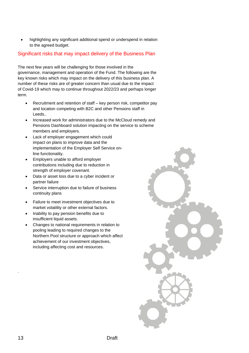• highlighting any significant additional spend or underspend in relation to the agreed budget.

#### Significant risks that may impact delivery of the Business Plan

The next few years will be challenging for those involved in the governance, management and operation of the Fund. The following are the key known risks which may impact on the delivery of this business plan. A number of these risks are of greater concern than usual due to the impact of Covid-19 which may to continue throughout 2022/23 and perhaps longer term.

- Recruitment and retention of staff key person risk, competitor pay and location competing with B2C and other Pensions staff in Leeds..
- Increased work for administrators due to the McCloud remedy and Pensions Dashboard solution impacting on the service to scheme members and employers.
- Lack of employer engagement which could impact on plans to improve data and the implementation of the Employer Self Service online functionality.
- Employers unable to afford employer contributions including due to reduction in strength of employer covenant.
- Data or asset loss due to a cyber incident or partner failure
- Service interruption due to failure of business continuity plans
- Failure to meet investment objectives due to market volatility or other external factors.
- Inability to pay pension benefits due to insufficient liquid assets.
- Changes to national requirements in relation to pooling leading to required changes to the Northern Pool structure or approach which affect achievement of our investment objectives, including affecting cost and resources.



.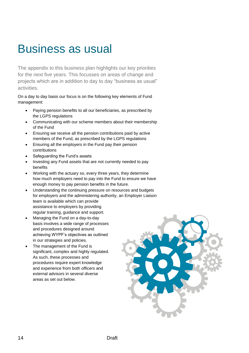## <span id="page-13-0"></span>Business as usual

The appendix to this business plan highlights our key priorities for the next five years. This focusses on areas of change and projects which are in addition to day to day "business as usual" activities.

On a day to day basis our focus is on the following key elements of Fund management:

- Paying pension benefits to all our beneficiaries, as prescribed by the LGPS regulations
- Communicating with our scheme members about their membership of the Fund
- Ensuring we receive all the pension contributions paid by active members of the Fund, as prescribed by the LGPS regulations
- Ensuring all the employers in the Fund pay their pension contributions
- Safeguarding the Fund's assets
- Investing any Fund assets that are not currently needed to pay benefits
- Working with the actuary so, every three years, they determine how much employers need to pay into the Fund to ensure we have enough money to pay pension benefits in the future.
- Understanding the continuing pressure on resources and budgets for employers and the administering authority, an Employer Liaison team is available which can provide assistance to employers by providing regular training, guidance and support.
- Managing the Fund on a day-to-day basis involves a wide range of processes and procedures designed around achieving WYPF's objectives as outlined in our strategies and policies.
- The management of the Fund is significant, complex and highly regulated. As such, these processes and procedures require expert knowledge and experience from both officers and external advisors in several diverse areas as set out below.

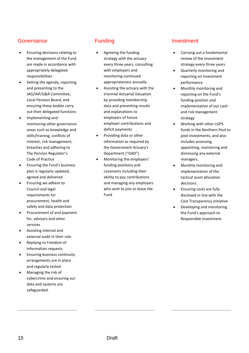### **Governance**

- Ensuring decisions relating to the management of the Fund are made in accordance with appropriately delegated responsibilities
- Setting the agenda, reporting and presenting to the JAG/IAP/G&R Committee, Local Pension Board, and ensuring those bodies carry out their delegated functions
- Implementing and monitoring other governance areas such as knowledge and skills/training, conflicts of interest, risk management, breaches and adhering to The Pension Regulator's Code of Practice
- Ensuring the Fund's business plan is regularly updated, agreed and delivered
- Ensuring we adhere to Council and legal requirements for procurement, health and safety and data protection
- Procurement of and payment for, advisers and other services
- Assisting internal and external audit in their role
- Replying to Freedom of Information requests
- Ensuring business continuity arrangements are in place and regularly tested
- Managing the risk of cybercrime and ensuring our data and systems are safeguarded.

## Funding

- Agreeing the funding strategy with the actuary every three years, consulting with employers and monitoring continued appropriateness annually
- Assisting the actuary with the triennial Actuarial Valuation by providing membership data and presenting results and explanations to employers of future employer contributions and deficit payments
- Providing data or other information as required by the Government Actuary's Department ("GAD")
- Monitoring the employers' funding positions and covenants including their ability to pay contributions and managing any employers who wish to join or leave the Fund

## Investment

- Carrying out a fundamental review of the investment strategy every three years
- Quarterly monitoring and reporting on investment performance
- Monthly monitoring and reporting on the Fund's funding position and implementation of our cash and risk management strategy
- Working with other LGPS funds in the Northern Pool to pool investments, and also includes assessing, appointing, monitoring and dismissing any external managers.
- Monthly monitoring and implementation of the tactical asset allocation decisions
- Ensuring costs are fully disclosed in line with the Cost Transparency initiative
- Developing and monitoring the Fund's approach to Responsible Investment.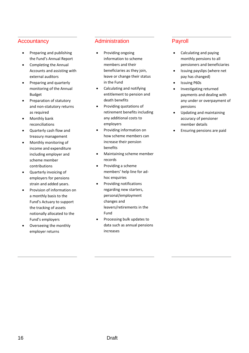#### **Accountancy**

- Preparing and publishing the Fund's Annual Report
- Completing the Annual Accounts and assisting with external auditors
- Preparing and quarterly monitoring of the Annual Budget
- Preparation of statutory and non-statutory returns as required
- Monthly bank reconciliations
- Quarterly cash flow and treasury management
- Monthly monitoring of income and expenditure including employer and scheme member contributions
- Quarterly invoicing of employers for pensions strain and added years.
- Provision of information on a monthly basis to the Fund's Actuary to support the tracking of assets notionally allocated to the Fund's employers
- Overseeing the monthly employer returns

#### Administration

- Providing ongoing information to scheme members and their beneficiaries as they join, leave or change their status in the Fund
- Calculating and notifying entitlement to pension and death benefits
- Providing quotations of retirement benefits including any additional costs to employers
- Providing information on how scheme members can increase their pension benefits
- Maintaining scheme member records
- Providing a scheme members' help line for adhoc enquiries
- Providing notifications regarding new starters, personal/employment changes and leavers/retirements in the Fund
- Processing bulk updates to data such as annual pensions increases

### Payroll

- Calculating and paying monthly pensions to all pensioners and beneficiaries
- Issuing payslips (where net pay has changed)
- Issuing P60s
- Investigating returned payments and dealing with any under or overpayment of pensions
- Updating and maintaining accuracy of pensioner member details
- Ensuring pensions are paid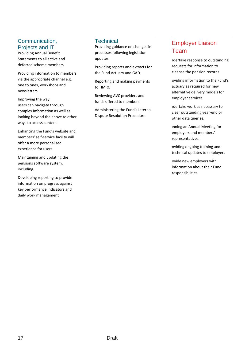### Communication, Projects and IT

Providing Annual Benefit Statements to all active and deferred scheme members

Providing information to members via the appropriate channel e.g. one to ones, workshops and newsletters

Improving the way users can navigate through complex information as well as looking beyond the above to other ways to access content

Enhancing the Fund's website and members' self-service facility will offer a more personalised experience for users

Maintaining and updating the pensions software system, including

Developing reporting to provide information on progress against key performance indicators and daily work management

#### **Technical**

Providing guidance on changes in processes following legislation updates

Providing reports and extracts for the Fund Actuary and GAD

Reporting and making payments to HMRC

Reviewing AVC providers and funds offered to members

Administering the Fund's Internal Dispute Resolution Procedure.

## Employer Liaison Team

ndertake response to outstanding requests for information to cleanse the pension records

oviding information to the Fund's actuary as required for new alternative delivery models for employer services

ndertake work as necessary to clear outstanding year-end or other data queries.

Inning an Annual Meeting for employers and members' representatives.

oviding ongoing training and technical updates to employers

ovide new employers with information about their Fund responsibilities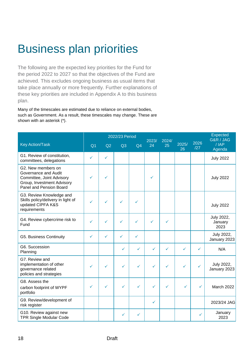## <span id="page-17-0"></span>Business plan priorities

The following are the expected key priorities for the Fund for the period 2022 to 2027 so that the objectives of the Fund are achieved. This excludes ongoing business as usual items that take place annually or more frequently. Further explanations of these key priorities are included in Appendix A to this business plan.

Many of the timescales are estimated due to reliance on external bodies, such as Government. As a result, these timescales may change. These are shown with an asterisk (\*).

|                                                                                                                                  |                | 2022/23 Period |                | <b>Expected</b><br>G&R / JAG |             |             |             |             |                               |
|----------------------------------------------------------------------------------------------------------------------------------|----------------|----------------|----------------|------------------------------|-------------|-------------|-------------|-------------|-------------------------------|
| <b>Key Action/Task</b>                                                                                                           | Q <sub>1</sub> | Q2             | Q <sub>3</sub> | Q <sub>4</sub>               | 2023/<br>24 | 2024/<br>25 | 2025/<br>26 | 2026<br>/27 | $/$ IAP<br>Agenda             |
| G1. Review of constitution,<br>committees, delegations                                                                           | ✓              | ✓              |                |                              |             |             |             |             | <b>July 2022</b>              |
| G2. New members on<br>Governance and Audit<br>Committee, Joint Advisory<br>Group, Investment Advisory<br>Panel and Pension Board | ✓              | ✓              |                |                              |             |             |             |             | <b>July 2022</b>              |
| G3. Review Knowledge and<br>Skills policy/delivery in light of<br>updated CIPFA K&S<br>requirements                              |                |                | ✓              |                              |             |             |             |             | <b>July 2022</b>              |
| G4. Review cybercrime risk to<br>Fund                                                                                            | ✓              | ✓              | $\checkmark$   | ✓                            | ✓           | ✓           |             |             | July 2022,<br>January<br>2023 |
| G5. Business Continuity                                                                                                          | ✓              | ✓              | ✓              | ✓                            |             |             |             |             | July 2022,<br>January 2023    |
| G6. Succession<br>Planning                                                                                                       |                |                | ✓              | ✓                            | ✓           | ✓           | ✓           | ✓           | N/A                           |
| G7. Review and<br>implementation of other<br>governance related<br>policies and strategies                                       | ✓              | ✓              | ✓              | $\checkmark$                 | ✓           | ✓           | ✓           | ✓           | July 2022,<br>January 2023    |
| G8. Assess the<br>carbon footprint of WYPF<br>portfolio                                                                          | ✓              | ✓              | ✓              | ✓                            | ✓           | ✓           | ✓           | ✓           | March 2022                    |
| G9. Review/development of<br>risk register                                                                                       |                |                |                |                              | ✓           |             |             |             | 2023/24 JAG                   |
| G10. Review against new<br><b>TPR Single Modular Code</b>                                                                        |                |                | ✓              | ✓                            |             |             |             | ✓           | January<br>2023               |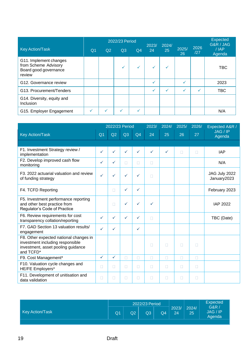|                                                                                   |                |    | 2022/23 Period |                | 2023/        | 2024/ |             |             | <b>Expected</b><br>G&R / JAG |
|-----------------------------------------------------------------------------------|----------------|----|----------------|----------------|--------------|-------|-------------|-------------|------------------------------|
| <b>Key Action/Task</b>                                                            | Q <sub>1</sub> | Q2 | Q3             | Q <sub>4</sub> | 24           | 25    | 2025/<br>26 | 2026<br>/27 | $/$ $AP$<br>Agenda           |
| G11. Implement changes<br>from Scheme Advisory<br>Board good governance<br>review |                |    |                | $\checkmark$   | $\checkmark$ |       |             |             | <b>TBC</b>                   |
| G12. Governance review                                                            |                |    |                |                | ✓            |       |             |             | 2023                         |
| G13. Procurement/Tenders                                                          |                |    |                |                | ✓            |       |             |             | TBC                          |
| G14. Diversity, equity and<br>Inclusion                                           |                |    |                |                |              |       |             |             |                              |
| G15. Employer Engagement                                                          |                |    |                |                |              |       |             |             | N/A                          |

|                                                                                                                               |                | 2022/23 Period |              |                | 2023/  | 2024/        | 2025/ | 2026/ | Expected A&R /               |
|-------------------------------------------------------------------------------------------------------------------------------|----------------|----------------|--------------|----------------|--------|--------------|-------|-------|------------------------------|
| <b>Key Action/Task</b>                                                                                                        | Q <sub>1</sub> | Q2             | Q3           | Q <sub>4</sub> | 24     | 25           | 26    | 27    | JAG / IP<br>Agenda           |
|                                                                                                                               |                |                |              |                |        |              |       |       |                              |
| F1. Investment Strategy review /<br>implementation                                                                            | $\checkmark$   | ✓              | ✓            | ✓              | ✓      | $\checkmark$ | П     | П     | <b>IAP</b>                   |
| F2. Develop improved cash flow<br>monitoring                                                                                  | $\checkmark$   | $\checkmark$   | $\Box$       | $\Box$         | $\Box$ |              |       |       | N/A                          |
| F3. 2022 actuarial valuation and review<br>of funding strategy                                                                | $\checkmark$   | $\checkmark$   | $\checkmark$ | $\checkmark$   | П      |              |       |       | JAG July 2022<br>January2023 |
| F4. TCFD Reporting                                                                                                            |                | $\Box$         | $\checkmark$ | $\checkmark$   |        |              |       |       | February 2023                |
| F5. Investment performance reporting<br>and other best practice from<br>Regulator's Code of Practice                          |                | $\Box$         | $\checkmark$ | $\checkmark$   | ✓      |              |       |       | IAP 2022                     |
| F6. Review requirements for cost<br>transparency collation/reporting                                                          | $\checkmark$   | $\checkmark$   | $\checkmark$ | $\checkmark$   | П      |              |       |       | TBC (Date)                   |
| F7. GAD Section 13 valuation results/<br>engagement                                                                           | ✓              | ✓              |              | $\checkmark$   |        |              |       |       |                              |
| F8. Other expected national changes in<br>investment including responsible<br>investment, asset pooling guidance<br>and TCFD* |                |                |              |                | П      | П            | П     | П     |                              |
| F9. Cost Management*                                                                                                          | $\checkmark$   | $\checkmark$   | П            | П              | П      | П            | П     | П     |                              |
| F10. Valuation cycle changes and<br><b>HE/FE Employers*</b>                                                                   | П              | $\Box$         | П            | П              | П      | П            | П     | П     |                              |
| F11. Development of unitisation and<br>data validation                                                                        | $\Box$         | П              | $\Box$       | $\Box$         | П      | П            | П     | П     |                              |

| <b>Key Action/Task</b><br>24<br>25 | 2022/23 Period       | <b>Expected</b>                             |
|------------------------------------|----------------------|---------------------------------------------|
|                                    | Q1<br>Q2<br>Q3<br>Q4 | G&R<br>2023/<br>2024/<br>JAG / IP<br>Agenda |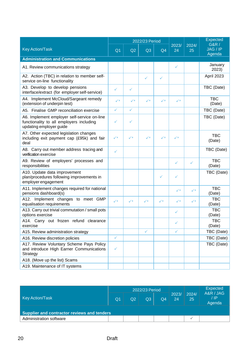|                                                                                                                    |                |                | 2022/23 Period |                |                |                      | <b>Expected</b><br>G&R / |
|--------------------------------------------------------------------------------------------------------------------|----------------|----------------|----------------|----------------|----------------|----------------------|--------------------------|
| <b>Key Action/Task</b>                                                                                             | Q <sub>1</sub> | Q2             | Q3             | Q <sub>4</sub> | 2023/<br>24    | 2024/<br>25          | JAG / IP<br>Agenda       |
| <b>Administration and Communications</b>                                                                           |                |                |                |                |                |                      |                          |
| A1. Review communications strategy                                                                                 |                |                |                |                | ✓              |                      | January<br>2023)         |
| A2. Action (TBC) in relation to member self-<br>service on-line functionality                                      |                |                | ✓              | ✓              |                |                      | April 2023               |
| A3. Develop to develop pensions<br>interface/extract (for employer self-service)                                   | ✓              | ✓              |                |                |                |                      | TBC (Date)               |
| A4. Implement McCloud/Sargeant remedy<br>(extension of underpin test)                                              | ✓∗             | $\checkmark^*$ | ✓∗             | $\checkmark^*$ | $\checkmark^*$ |                      | <b>TBC</b><br>(Date)     |
| A5. Finalise GMP reconciliation exercise                                                                           | ✓              | $\checkmark$   |                |                |                |                      | TBC (Date)               |
| A6. Implement employer self-service on-line<br>functionality to all employers including<br>updating employer guide | ✓              | ✓              |                |                |                |                      | TBC (Date)               |
| A7. Other expected legislation changes<br>including exit payment cap (£95k) and fair<br>deal                       | $\checkmark$   | $\checkmark$   | $\checkmark$   | $\checkmark$   | $\checkmark$   |                      | <b>TBC</b><br>(Date)     |
| A8. Carry out member address tracing and<br>verification exercise                                                  | ✓              |                |                |                |                |                      | TBC (Date)               |
| A9. Review of employers' processes and<br>responsibilities                                                         |                |                |                |                | ✓              | ✓                    | <b>TBC</b><br>(Date)     |
| A10. Update data improvement<br>plan/procedures following improvements in<br>employer engagement                   |                |                |                | ✓              | ✓              |                      | TBC (Date)               |
| A11. Implement changes required for national<br>pensions dashboard(s)                                              |                |                |                |                | $\checkmark$   | $\checkmark^{\star}$ | <b>TBC</b><br>(Date)     |
| A12. Implement changes to meet GMP<br>equalisation requirements                                                    | $\checkmark$   | $\checkmark^*$ | $\checkmark^*$ | $\checkmark^*$ | $\checkmark$   | $\checkmark$         | <b>TBC</b><br>(Date)     |
| A13. Carry out trivial commutation / small pots<br>options exercise                                                |                |                |                |                | ✓              |                      | <b>TBC</b><br>(Date)     |
| A14. Carry out frozen refund clearance<br>exercise                                                                 |                |                |                |                | ✓              |                      | <b>TBC</b><br>(Date)     |
| A15. Review administration strategy                                                                                |                |                | ✓              |                | ✓              |                      | TBC (Date)               |
| A16. Review discretion policies                                                                                    | $\checkmark$   |                |                |                |                |                      | TBC (Date)               |
| A17. Review Voluntary Scheme Pays Policy<br>and introduce High Earner Communications<br>Strategy                   | ✓              |                |                |                |                |                      | TBC (Date)               |
| A18. (Move up the list) Scams                                                                                      |                |                |                |                |                |                      |                          |
| A19. Maintenance of IT systems                                                                                     |                |                |                |                |                |                      |                          |

|                                             |                |    | 2022/23 Period |                |             |             | <b>Expected</b>             |
|---------------------------------------------|----------------|----|----------------|----------------|-------------|-------------|-----------------------------|
| <b>Key Action/Task</b>                      | Q <sub>1</sub> | Q2 | Q <sub>3</sub> | Q <sub>4</sub> | 2023/<br>24 | 2024/<br>25 | A&R / JAG<br>/ IP<br>Agenda |
| Supplier and contractor reviews and tenders |                |    |                |                |             |             |                             |
| Administration software                     |                |    |                |                |             | ٠           |                             |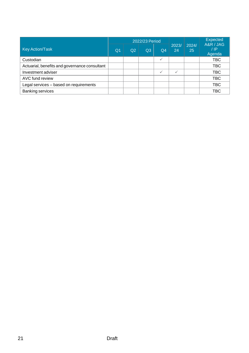|                                               |                |    | 2022/23 Period |                |             |             | Expected<br>A&R / JAG |
|-----------------------------------------------|----------------|----|----------------|----------------|-------------|-------------|-----------------------|
| <b>Key Action/Task</b>                        | Q <sub>1</sub> | Q2 | Q <sub>3</sub> | Q <sub>4</sub> | 2023/<br>24 | 2024/<br>25 | / IP<br>Agenda        |
| Custodian                                     |                |    |                |                |             |             | <b>TBC</b>            |
| Actuarial, benefits and governance consultant |                |    |                |                |             |             | <b>TBC</b>            |
| Investment adviser                            |                |    |                |                |             |             | <b>TBC</b>            |
| AVC fund review                               |                |    |                |                |             |             | <b>TBC</b>            |
| Legal services - based on requirements        |                |    |                |                |             |             | <b>TBC</b>            |
| <b>Banking services</b>                       |                |    |                |                |             |             | <b>TBC</b>            |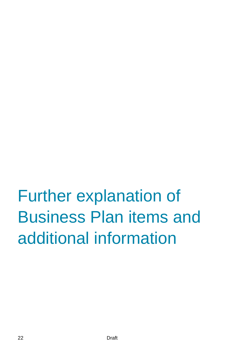# <span id="page-21-0"></span>Further explanation of Business Plan items and additional information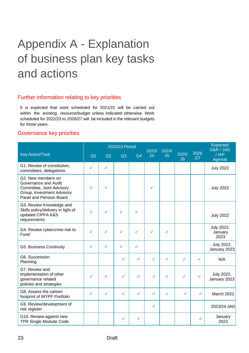## <span id="page-22-0"></span>Appendix A - Explanation of business plan key tasks and actions

### Further information relating to key priorities

It is expected that work scheduled for 2021/22 will be carried out within the existing resource/budget unless indicated otherwise. Work scheduled for 2022/23 to 2026/27 will be included in the relevant budgets for those years.

#### Governance key priorities

|                                                                                                                                  |                |              | 2022/23 Period |                | 2023/ | 2024/ |              |              | <b>Expected</b><br>G&R / JAG  |
|----------------------------------------------------------------------------------------------------------------------------------|----------------|--------------|----------------|----------------|-------|-------|--------------|--------------|-------------------------------|
| <b>Key Action/Task</b>                                                                                                           | Q <sub>1</sub> | Q2           | Q <sub>3</sub> | Q <sub>4</sub> | 24    | 25    | 2025/<br>26  | 2026<br>/27  | $/$ IAP<br>Agenda             |
| G1. Review of constitution,<br>committees, delegations                                                                           | ✓              | $\checkmark$ |                |                |       |       |              |              | <b>July 2022</b>              |
| G2. New members on<br>Governance and Audit<br>Committee, Joint Advisory<br>Group, Investment Advisory<br>Panel and Pension Board |                | ✓            |                |                |       |       |              |              | <b>July 2022</b>              |
| G3. Review Knowledge and<br>Skills policy/delivery in light of<br>updated CIPFA K&S<br>requirements                              |                | ✓            | ✓              | ✓              |       |       |              |              | <b>July 2022</b>              |
| G4. Review cybercrime risk to<br>Fund                                                                                            | ✓              | ✓            | ✓              | ✓              | ✓     | ✓     |              |              | July 2022,<br>January<br>2023 |
| G5. Business Continuity                                                                                                          | ✓              | ✓            | ✓              | ✓              |       |       |              |              | July 2022,<br>January 2023    |
| G6. Succession<br>Planning                                                                                                       |                |              | ✓              | $\checkmark$   | ✓     | ✓     | $\checkmark$ | ✓            | N/A                           |
| G7. Review and<br>implementation of other<br>governance related<br>policies and strategies                                       | ✓              | ✓            | $\checkmark$   | $\checkmark$   | ✓     | ✓     | $\checkmark$ | ✓            | July 2022,<br>January 2023    |
| G8. Assess the carbon<br>footprint of WYPF Portfolio                                                                             | ✓              | $\checkmark$ | $\checkmark$   | $\checkmark$   | ✓     | ✓     | ✓            | $\checkmark$ | March 2022                    |
| G9. Review/development of<br>risk register                                                                                       |                |              |                |                | ✓     |       |              |              | 2023/24 JAG                   |
| G10. Review against new<br><b>TPR Single Modular Code</b>                                                                        |                |              | $\checkmark$   | ✓              |       |       |              |              | January<br>2023               |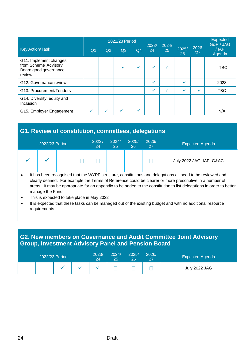|                                                                                   |            |    | 2022/23 Period |                | 2023/        | 2024/ |             |             | <b>Expected</b><br>G&R / JAG |
|-----------------------------------------------------------------------------------|------------|----|----------------|----------------|--------------|-------|-------------|-------------|------------------------------|
| <b>Key Action/Task</b>                                                            | $\Omega$ 1 | Q2 | Q3             | Q <sub>4</sub> | 24           | 25    | 2025/<br>26 | 2026<br>/27 | $/$ $AP$<br>Agenda           |
| G11. Implement changes<br>from Scheme Advisory<br>Board good governance<br>review |            |    |                | $\checkmark$   |              |       |             |             | <b>TBC</b>                   |
| G12. Governance review                                                            |            |    |                |                | ✓            |       |             |             | 2023                         |
| G13. Procurement/Tenders                                                          |            |    |                |                | $\checkmark$ |       |             |             | <b>TBC</b>                   |
| G14. Diversity, equity and<br>Inclusion                                           |            |    |                |                |              |       |             |             |                              |
| G15. Employer Engagement                                                          |            |    |                |                |              |       |             |             | N/A                          |

## **G1. Review of constitution, committees, delegations**

| <b>Expected Agenda</b>   | 2026/<br>27 | 2025/<br>26  | 2024/<br>25 | 2023/<br>24 |                                       | 2022/23 Period |   |
|--------------------------|-------------|--------------|-------------|-------------|---------------------------------------|----------------|---|
| July 2022 JAG, IAP, G&AC |             |              |             |             |                                       |                |   |
| $\sim$ $\sim$<br>.       | .           | $-2.5 - 2.5$ |             |             | $\mathbf{r}$ . The state $\mathbf{r}$ |                | . |

It has been recognised that the WYPF structure, constitutions and delegations all need to be reviewed and clearly defined. For example the Terms of Reference could be clearer or more prescriptive in a number of areas. It may be appropriate for an appendix to be added to the constitution to list delegations in order to better manage the Fund.

- This is expected to take place in May 2022
- It is expected that these tasks can be managed out of the existing budget and with no additional resource requirements.

## **G2. New members on Governance and Audit Committee Joint Advisory Group, Investment Advisory Panel and Pension Board**

| 2022/23 Period |  | 2023/<br>24 | 2024/<br>25 | 2025/<br>26 | 2026/ | <b>Expected Agenda</b> |
|----------------|--|-------------|-------------|-------------|-------|------------------------|
|                |  |             |             |             |       | July 2022 JAG          |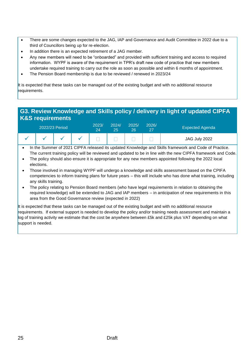- There are some changes expected to the JAG, IAP and Governance and Audit Committee in 2022 due to a third of Councillors being up for re-election.
- In addition there is an expected retirement of a JAG member.
- Any new members will need to be "onboarded" and provided with sufficient training and access to required information. WYPF is aware of the requirement in TPR's draft new code of practice that new members undertake required training to carry out the role as soon as possible and within 6 months of appointment.
- The Pension Board membership is due to be reviewed / renewed in 2023/24

It is expected that these tasks can be managed out of the existing budget and with no additional resource requirements.

### **G3. Review Knowledge and Skills policy / delivery in light of updated CIPFA K&S requirements**

|  | 2022/23 Period |  | 2023/<br>24 | 2024/<br>25 | 2025/<br>26 | 2026/<br>27 | <b>Expected Agenda</b> |
|--|----------------|--|-------------|-------------|-------------|-------------|------------------------|
|  |                |  |             |             |             |             | JAG July 2022          |

• In the Summer of 2021 CIPFA released its updated Knowledge and Skills framework and Code of Practice. The current training policy will be reviewed and updated to be in line with the new CIPFA framework and Code.

- The policy should also ensure it is appropriate for any new members appointed following the 2022 local elections.
- Those involved in managing WYPF will undergo a knowledge and skills assessment based on the CPIFA competencies to inform training plans for future years – this will include who has done what training, including any skills training.
- The policy relating to Pension Board members (who have legal requirements in relation to obtaining the required knowledge) will be extended to JAG and IAP members – in anticipation of new requirements in this area from the Good Governance review (expected in 2022)

It is expected that these tasks can be managed out of the existing budget and with no additional resource requirements. If external support is needed to develop the policy and/or training needs assessment and maintain a log of training activity we estimate that the cost be anywhere between £5k and £25k plus VAT depending on what support is needed.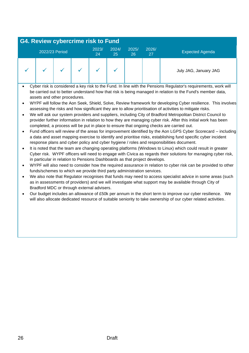#### **G4. Review cybercrime risk to Fund** 2022/23 Period 2023/ 24 2024/ 25 2025/ 26 2026/ <sup>020</sup> Expected Agenda<br>27 July JAG, January JAG

- Cyber risk is considered a key risk to the Fund. In line with the Pensions Regulator's requirements, work will be carried out to better understand how that risk is being managed in relation to the Fund's member data, assets and other procedures.
- WYPF will follow the Aon Seek, Shield, Solve, Review framework for developing Cyber resilience. This involves assessing the risks and how significant they are to allow prioritisation of activities to mitigate risks.
- We will ask our system providers and suppliers, including City of Bradford Metropolitan District Council to provider further information in relation to how they are managing cyber risk. After this initial work has been completed, a process will be put in place to ensure that ongoing checks are carried out.
- Fund officers will review of the areas for improvement identified by the Aon LGPS Cyber Scorecard including a data and asset mapping exercise to identify and prioritise risks, establishing fund specific cyber incident response plans and cyber policy and cyber hygiene / roles and responsibilities document.
- It is noted that the team are changing operating platforms (Windows to Linux) which could result in greater Cyber risk. WYPF officers will need to engage with Civica as regards their solutions for managing cyber risk, in particular in relation to Pensions Dashboards as that project develops.
- WYPF will also need to consider how the required assurance in relation to cyber risk can be provided to other funds/schemes to which we provide third party administration services.
- We also note that Regulator recognises that funds may need to access specialist advice in some areas (such as in assessments of providers) and we will investigate what support may be available through City of Bradford MDC or through external advisers.
- Our budget includes an allowance of £50k per annum in the short term to improve our cyber resilience. We will also allocate dedicated resource of suitable seniority to take ownership of our cyber related activities.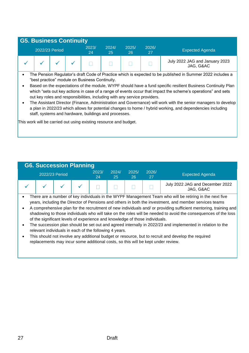| <b>G5. Business Continuity</b>                                                                                                                                                                                                                                                |  |  |             |             |             |             |                                             |  |  |  |  |  |
|-------------------------------------------------------------------------------------------------------------------------------------------------------------------------------------------------------------------------------------------------------------------------------|--|--|-------------|-------------|-------------|-------------|---------------------------------------------|--|--|--|--|--|
| 2022/23 Period                                                                                                                                                                                                                                                                |  |  | 2023/<br>24 | 2024/<br>25 | 2025/<br>26 | 2026/<br>27 | <b>Expected Agenda</b>                      |  |  |  |  |  |
|                                                                                                                                                                                                                                                                               |  |  |             |             |             |             | July 2022 JAG and January 2023<br>JAG, G&AC |  |  |  |  |  |
| The Pension Regulator's draft Code of Practice which is expected to be published in Summer 2022 includes a<br>"best practice" module on Business Continuity.<br>Desad en the avecatations of the meadule. MN/DE shauld house fund specific resiliant Dusiness Continuity Dlan |  |  |             |             |             |             |                                             |  |  |  |  |  |

- Based on the expectations of the module, WYPF should have a fund specific resilient Business Continuity Plan which "sets out key actions in case of a range of events occur that impact the scheme's operations" and sets out key roles and responsibilities, including with any service providers.
- The Assistant Director (Finance, Administration and Governance) will work with the senior managers to develop a plan in 2022/23 which allows for potential changes to home / hybrid working, and dependencies including staff, systems and hardware, buildings and processes.

This work will be carried out using existing resource and budget.



- There are a number of key individuals in the WYPF Management Team who will be retiring in the next five years, including the Director of Pensions and others in both the investment, and member services teams
- A comprehensive plan for the recruitment of new individuals and/ or providing sufficient mentoring, training and shadowing to those individuals who will take on the roles will be needed to avoid the consequences of the loss of the significant levels of experience and knowledge of those individuals.
- The succession plan should be set out and agreed internally in 2022/23 and implemented in relation to the relevant individuals in each of the following 4 years.
- This should not involve any additional budget or resource, but to recruit and develop the required replacements may incur some additional costs, so this will be kept under review.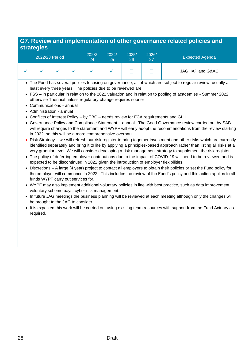## **G7. Review and implementation of other governance related policies and strategies**

|                                                                                                                                                                                                                                                                                 | 2022/23 Period                                                                                                                                                                                                                                                                       |  |  | 2023/<br>24                                             | 2024/<br>25 | 2025/<br>26 | 2026/<br>27 | <b>Expected Agenda</b>                                                                                                                                                                                                                                                                                                                                      |  |  |  |  |
|---------------------------------------------------------------------------------------------------------------------------------------------------------------------------------------------------------------------------------------------------------------------------------|--------------------------------------------------------------------------------------------------------------------------------------------------------------------------------------------------------------------------------------------------------------------------------------|--|--|---------------------------------------------------------|-------------|-------------|-------------|-------------------------------------------------------------------------------------------------------------------------------------------------------------------------------------------------------------------------------------------------------------------------------------------------------------------------------------------------------------|--|--|--|--|
|                                                                                                                                                                                                                                                                                 |                                                                                                                                                                                                                                                                                      |  |  | $\checkmark$                                            |             |             |             | JAG, IAP and G&AC                                                                                                                                                                                                                                                                                                                                           |  |  |  |  |
| • The Fund has several policies focusing on governance, all of which are subject to regular review, usually at<br>least every three years. The policies due to be reviewed are:                                                                                                 |                                                                                                                                                                                                                                                                                      |  |  |                                                         |             |             |             |                                                                                                                                                                                                                                                                                                                                                             |  |  |  |  |
|                                                                                                                                                                                                                                                                                 | • FSS - in particular in relation to the 2022 valuation and in relation to pooling of academies - Summer 2022,<br>otherwise Triennial unless regulatory change requires sooner                                                                                                       |  |  |                                                         |             |             |             |                                                                                                                                                                                                                                                                                                                                                             |  |  |  |  |
|                                                                                                                                                                                                                                                                                 | • Communications - annual<br>• Administration - annual                                                                                                                                                                                                                               |  |  |                                                         |             |             |             |                                                                                                                                                                                                                                                                                                                                                             |  |  |  |  |
| $\bullet$<br>$\bullet$                                                                                                                                                                                                                                                          |                                                                                                                                                                                                                                                                                      |  |  | in 2022, so this will be a more comprehensive overhaul. |             |             |             | Conflicts of Interest Policy - by TBC - needs review for FCA requirements and GLIL<br>Governance Policy and Compliance Statement - annual. The Good Governance review carried out by SAB<br>will require changes to the statement and WYPF will early adopt the recommendations from the review starting                                                    |  |  |  |  |
| $\bullet$                                                                                                                                                                                                                                                                       |                                                                                                                                                                                                                                                                                      |  |  |                                                         |             |             |             | Risk Strategy - we will refresh our risk register to bring together investment and other risks which are currently<br>identified separately and bring it to life by applying a principles-based approach rather than listing all risks at a<br>very granular level. We will consider developing a risk management strategy to supplement the risk register. |  |  |  |  |
|                                                                                                                                                                                                                                                                                 | • The policy of deferring employer contributions due to the impact of COVID-19 will need to be reviewed and is<br>expected to be discontinued in 2022 given the introduction of employer flexibilities.                                                                              |  |  |                                                         |             |             |             |                                                                                                                                                                                                                                                                                                                                                             |  |  |  |  |
| • Discretions – A large (4 year) project to contact all employers to obtain their policies or set the Fund policy for<br>the employer will commence in 2022. This includes the review of the Fund's policy and this action applies to all<br>funds WYPF carry out services for. |                                                                                                                                                                                                                                                                                      |  |  |                                                         |             |             |             |                                                                                                                                                                                                                                                                                                                                                             |  |  |  |  |
|                                                                                                                                                                                                                                                                                 | • WYPF may also implement additional voluntary policies in line with best practice, such as data improvement,<br>voluntary scheme pays, cyber risk management.<br>$\mu$ future $\mu$ C mootings the business planning will be reviewed at each mooting although only the shapes will |  |  |                                                         |             |             |             |                                                                                                                                                                                                                                                                                                                                                             |  |  |  |  |

- In future JAG meetings the business planning will be reviewed at each meeting although only the changes will be brought to the JAG to consider.
- It is expected this work will be carried out using existing team resources with support from the Fund Actuary as required.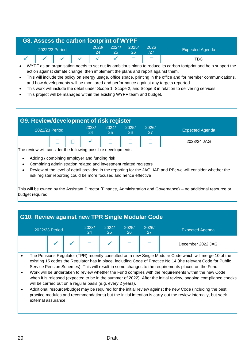## **G8. Assess the carbon footprint of WYPF**

|  | 2022/23 Period |  |  | 2023/<br>24 | 2024/ | 2025/<br>26  | 2026<br>/27 | <b>Expected Agenda</b> |
|--|----------------|--|--|-------------|-------|--------------|-------------|------------------------|
|  |                |  |  |             |       | __<br>$\sim$ |             | твс                    |

• WYPF as an organisation needs to set out its ambitious plans to reduce its carbon footprint and help support the action against climate change, then implement the plans and report against them.

- This will include the policy on energy usage, office space, printing in the office and for member communications, and how developments will be monitored and performance against any targets reported.
- This work will include the detail under Scope 1, Scope 2, and Scope 3 in relation to delivering services.
- This project will be managed within the existing WYPF team and budget.

|                                                               | <b>G9. Review/development of risk register</b> |  |             |             |             |             |                        |  |  |  |  |  |
|---------------------------------------------------------------|------------------------------------------------|--|-------------|-------------|-------------|-------------|------------------------|--|--|--|--|--|
|                                                               | 2022/23 Period                                 |  | 2023/<br>24 | 2024/<br>25 | 2025/<br>26 | 2026/<br>27 | <b>Expected Agenda</b> |  |  |  |  |  |
| 2023/24 JAG                                                   |                                                |  |             |             |             |             |                        |  |  |  |  |  |
| The review will consider the following possible developments: |                                                |  |             |             |             |             |                        |  |  |  |  |  |

consider the following possible developments:

- Adding / combining employer and funding risk
- Combining administration related and investment related registers
- Review of the level of detail provided in the reporting for the JAG, IAP and PB; we will consider whether the risk register reporting could be more focused and hence effective

This will be owned by the Assistant Director (Finance, Administration and Governance) – no additional resource or budget required.

## **G10. Review against new TPR Single Modular Code**

|  | 2022/23 Period | 2023/<br>24 | 2024/<br>25 | 2025/<br>26 | 2026/<br>27 | <b>Expected Agenda</b> |
|--|----------------|-------------|-------------|-------------|-------------|------------------------|
|  |                |             |             |             |             | December 2022 JAG      |

- The Pensions Regulator (TPR) recently consulted on a new Single Modular Code which will merge 10 of the existing 15 codes the Regulator has in place, including Code of Practice No.14 (the relevant Code for Public Service Pension Schemes). This will result in some changes to the requirements placed on the Fund.
- Work will be undertaken to review whether the Fund complies with the requirements within the new Code when it is released (expected to be in the summer of 2022). After the initial review, ongoing compliance checks will be carried out on a regular basis (e.g. every 2 years).
- Additional resource/budget may be required for the initial review against the new Code (including the best practice modules and recommendations) but the initial intention is carry out the review internally, but seek external assurance.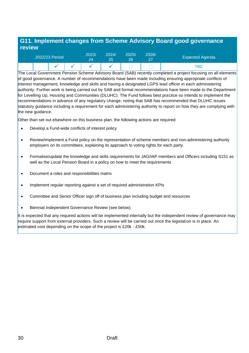## **G11. Implement changes from Scheme Advisory Board good governance review**

|  | 2022/23 Period | 2023/ | 2024/ | 2025/ | 2026/<br>- 27 | <b>Expected Agenda</b> |
|--|----------------|-------|-------|-------|---------------|------------------------|
|  |                |       |       |       |               | "BC                    |

The Local Government Pension Scheme Advisory Board (SAB) recently completed a project focusing on all elements of good governance. A number of recommendations have been made including ensuring appropriate conflicts of interest management, knowledge and skills and having a designated LGPS lead officer in each administering authority. Further work is being carried out by SAB and formal recommendations have been made to the Department for Levelling Up, Housing and Communities (DLUHC). The Fund follows best practice so intends to implement the recommendations in advance of any regulatory change, noting that SAB has recommended that DLUHC issues statutory guidance including a requirement for each administering authority to report on how they are complying with the new guidance.

Other than set out elsewhere on this business plan, the following actions are required:

- Develop a Fund-wide conflicts of interest policy
- Review/implement a Fund policy on the representation of scheme members and non-administering authority employers on its committees, explaining its approach to voting rights for each party.
- Formalise/update the knowledge and skills requirements for JAG/IAP members and Officers including S151 as well as the Local Pension Board in a policy on how to meet the requirements
- Document a roles and responsibilities matrix
- Implement regular reporting against a set of required administration KPIs
- Committee and Senior Officer sign off of business plan including budget and resources
- Biennial Independent Governance Review (see below)

It is expected that any required actions will be implemented internally but the independent review of governance may require support from external providers. Such a review will be carried out once the legislation is in place. An estimated cost depending on the scope of the project is £20k - £50k.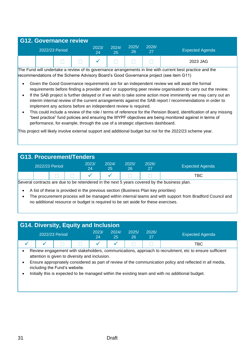|                | <b>G12. Governance review</b> |  |  |             |             |             |             |                        |
|----------------|-------------------------------|--|--|-------------|-------------|-------------|-------------|------------------------|
| 2022/23 Period |                               |  |  | 2023/<br>24 | 2024/<br>25 | 2025/<br>26 | 2026/<br>27 | <b>Expected Agenda</b> |
|                |                               |  |  |             |             |             |             | 2023 JAG               |

The Fund will undertake a review of its governance arrangements in line with current best practice and the recommendations of the Scheme Advisory Board's Good Governance project (see item G11)

- Given the Good Governance requirements are for an independent review we will await the formal requirements before finding a provider and / or supporting peer review organisation to carry out the review.
- If the SAB project is further delayed or if we wish to take some action more imminently we may carry out an interim internal review of the current arrangements against the SAB report / recommendations in order to implement any actions before an independent review is required.
- This could include a review of the role / terms of reference for the Pension Board, identification of any missing "best practice" fund policies and ensuring the WYPF objectives are being monitored against in terms of performance, for example, through the use of a strategic objectives dashboard.

This project will likely involve external support and additional budget but not for the 2022/23 scheme year.

| G13. Procurement/Tenders |                                                                                             |  |             |             |             |       |                        |  |  |  |  |
|--------------------------|---------------------------------------------------------------------------------------------|--|-------------|-------------|-------------|-------|------------------------|--|--|--|--|
|                          | 2022/23 Period                                                                              |  | 2023/<br>24 | 2024/<br>25 | 2025/<br>26 | 2026/ | <b>Expected Agenda</b> |  |  |  |  |
| твс                      |                                                                                             |  |             |             |             |       |                        |  |  |  |  |
|                          | Several contracts are due to be retendered in the next 5 years covered by the business plan |  |             |             |             |       |                        |  |  |  |  |

to be retendered in the next 5 years covered by the business plan.

- A list of these is provided in the previous section (Business Plan key priorities)
- The procurement process will be managed within internal teams and with support from Bradford Council and no additional resource or budget is required to be set aside for these exercises.

| <b>G14. Diversity, Equity and Inclusion</b> |  |
|---------------------------------------------|--|
|---------------------------------------------|--|

|  | 2022/23 Period | 2023/<br>24         | 2024/ | 2025/<br>26 | 2026/ | <b>Expected Agenda</b> |
|--|----------------|---------------------|-------|-------------|-------|------------------------|
|  |                | 1 T   T   V   V   T |       |             |       | TBC                    |

• Review engagement with stakeholders, communications, approach to recruitment, etc to ensure sufficient attention is given to diversity and inclusion.

- Ensure appropriately considered as part of review of the communication policy and reflected in all media, including the Fund's website.
- Initially this is expected to be managed within the existing team and with no additional budget.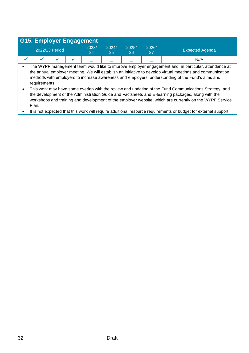|           | <b>G15. Employer Engagement</b> |  |  |             |             |             |             |                                                                                                                                                                                                                                                                                                                        |  |  |  |  |
|-----------|---------------------------------|--|--|-------------|-------------|-------------|-------------|------------------------------------------------------------------------------------------------------------------------------------------------------------------------------------------------------------------------------------------------------------------------------------------------------------------------|--|--|--|--|
|           | 2022/23 Period                  |  |  | 2023/<br>24 | 2024/<br>25 | 2025/<br>26 | 2026/<br>27 | <b>Expected Agenda</b>                                                                                                                                                                                                                                                                                                 |  |  |  |  |
|           |                                 |  |  |             |             |             |             | N//A                                                                                                                                                                                                                                                                                                                   |  |  |  |  |
| $\bullet$ | requirements.                   |  |  |             |             |             |             | The WYPF management team would like to improve employer engagement and, in particular, attendance at<br>the annual employer meeting. We will establish an initiative to develop virtual meetings and communication<br>methods with employers to increase awareness and employers' understanding of the Fund's aims and |  |  |  |  |

• This work may have some overlap with the review and updating of the Fund Communications Strategy, and the development of the Administration Guide and Factsheets and E-learning packages, along with the workshops and training and development of the employer website, which are currently on the WYPF Service Plan.

• It is not expected that this work will require additional resource requirements or budget for external support.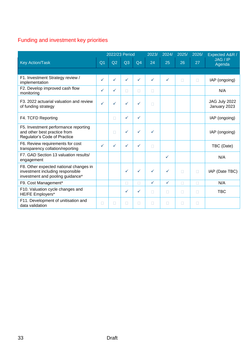## Funding and investment key priorities

|                                                                                                                |                | 2022/23 Period |              |              | 2023/        | 2024/        | 2025/  | 2026/  | Expected A&R /                |
|----------------------------------------------------------------------------------------------------------------|----------------|----------------|--------------|--------------|--------------|--------------|--------|--------|-------------------------------|
| <b>Key Action/Task</b>                                                                                         | Q <sub>1</sub> | Q2             | Q3           | Q4           | 24           | 25           | 26     | 27     | JAG / IP<br>Agenda            |
|                                                                                                                |                |                |              |              |              |              |        |        |                               |
| F1. Investment Strategy review /<br>implementation                                                             | ✓              | ✓              | ✓            | ✓            |              | $\checkmark$ | $\Box$ | П      | IAP (ongoing)                 |
| F2. Develop improved cash flow<br>monitoring                                                                   | ✓              | $\checkmark$   | $\Box$       | П            | П            |              |        |        | N/A                           |
| F3, 2022 actuarial valuation and review<br>of funding strategy                                                 | $\checkmark$   | $\checkmark$   | $\checkmark$ | $\checkmark$ | П            |              |        |        | JAG July 2022<br>January 2023 |
| F4. TCFD Reporting                                                                                             |                | П              | $\checkmark$ | $\checkmark$ |              |              |        |        | IAP (ongoing)                 |
| F5. Investment performance reporting<br>and other best practice from<br>Regulator's Code of Practice           |                | $\Box$         | ✓            | ✓            | ✓            |              |        |        | IAP (ongoing)                 |
| F6. Review requirements for cost<br>transparency collation/reporting                                           | $\checkmark$   | $\checkmark$   | $\checkmark$ | ✓            | П            |              |        |        | TBC (Date)                    |
| F7. GAD Section 13 valuation results/<br>engagement                                                            |                |                |              |              |              | $\checkmark$ |        |        | N/A                           |
| F8. Other expected national changes in<br>investment including responsible<br>investment and pooling guidance* |                |                | ✓            | $\checkmark$ | $\checkmark$ | $\checkmark$ | $\Box$ | П      | IAP (Date TBC)                |
| F9. Cost Management*                                                                                           |                |                | П            |              | $\checkmark$ | $\checkmark$ | П      | П      | N/A                           |
| F10. Valuation cycle changes and<br>HE/FE Employers*                                                           |                |                | ✓            | ✓            | П            | П            | П      | $\Box$ | <b>TBC</b>                    |
| F11. Development of unitisation and<br>data validation                                                         | П              | П              | П            | П            | П            | П            | П      | П      |                               |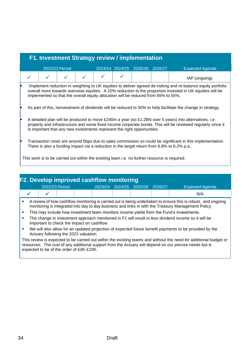| F1. Investment Strategy review / implementation |  |                |  |  |  |                                                                                    |  |                                                                                                                                                                                                                           |  |  |  |
|-------------------------------------------------|--|----------------|--|--|--|------------------------------------------------------------------------------------|--|---------------------------------------------------------------------------------------------------------------------------------------------------------------------------------------------------------------------------|--|--|--|
|                                                 |  | 2022/23 Period |  |  |  | 2023/24 2024/25 2025/26 2026/27                                                    |  | <b>Expected Agenda</b>                                                                                                                                                                                                    |  |  |  |
|                                                 |  |                |  |  |  |                                                                                    |  | IAP (ongoing)                                                                                                                                                                                                             |  |  |  |
|                                                 |  |                |  |  |  | implemented so that the overall equity allocation will be reduced from 65% to 55%. |  | Implement reduction in weighting to UK equities to deliver agreed de-risking and re-balance equity portfolio<br>overall more towards overseas equities. A 10% reduction to the proportion invested in UK equities will be |  |  |  |
|                                                 |  |                |  |  |  |                                                                                    |  | As part of this, reinvestment of dividends will be reduced to 50% to help facilitate the change in strategy.                                                                                                              |  |  |  |
|                                                 |  |                |  |  |  | is important that any new investments represent the right opportunities.           |  | A detailed plan will be produced to move £240m a year (so £1.2BN over 5 years) into alternatives, i.e.<br>property and infrastructure and some fixed income corporate bonds. This will be reviewed regularly since it     |  |  |  |
|                                                 |  |                |  |  |  |                                                                                    |  | Transaction costs are around 5bps due to sales commission so could be significant in this implementation.<br>There is also a funding impact via a reduction in the target return from 6.8% to 6.2% p.a                    |  |  |  |

This work is to be carried out within the existing team i.e. no further resource is required.

|   | <b>F2. Develop improved cashflow monitoring</b>                                                                                                                                                                                                                         |                |  |  |         |  |                         |  |                                                                                                                                                                                                                     |  |  |  |
|---|-------------------------------------------------------------------------------------------------------------------------------------------------------------------------------------------------------------------------------------------------------------------------|----------------|--|--|---------|--|-------------------------|--|---------------------------------------------------------------------------------------------------------------------------------------------------------------------------------------------------------------------|--|--|--|
|   |                                                                                                                                                                                                                                                                         | 2022/23 Period |  |  | 2023/24 |  | 2024/25 2025/26 2026/27 |  | <b>Expected Agenda</b>                                                                                                                                                                                              |  |  |  |
|   |                                                                                                                                                                                                                                                                         |                |  |  |         |  |                         |  | N/A                                                                                                                                                                                                                 |  |  |  |
| ٠ |                                                                                                                                                                                                                                                                         |                |  |  |         |  |                         |  | A review of how cashflow monitoring is carried out is being undertaken to ensure this is robust, and ongoing<br>monitoring is integrated into day to day business and links in with the Treasury Management Policy. |  |  |  |
| ٠ | This may include how investment team monitors income yields from the Fund's investments.                                                                                                                                                                                |                |  |  |         |  |                         |  |                                                                                                                                                                                                                     |  |  |  |
| п | The change in investment approach mentioned in F1 will result in less dividend income so it will be<br>important to check the impact on cashflow.                                                                                                                       |                |  |  |         |  |                         |  |                                                                                                                                                                                                                     |  |  |  |
| ٠ | We will also allow for an updated projection of expected future benefit payments to be provided by the<br>Actuary following the 2022 valuation.                                                                                                                         |                |  |  |         |  |                         |  |                                                                                                                                                                                                                     |  |  |  |
|   | This review is expected to be carried out within the existing teams and without the need for additional budget or<br>resources. The cost of any additional support from the Actuary will depend on our precise needs but is<br>expected to be of the order of £3K-£10K. |                |  |  |         |  |                         |  |                                                                                                                                                                                                                     |  |  |  |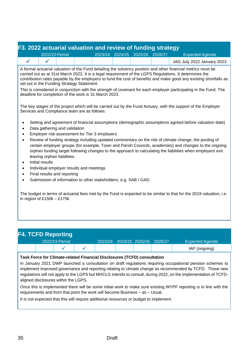## **F3. 2022 actuarial valuation and review of funding strategy**

| 2022/23 Period |  |  | 2023/24 2024/25 2025/26 2026/27 | Expected Agenda            |
|----------------|--|--|---------------------------------|----------------------------|
|                |  |  |                                 | JAG July 2022 January 2023 |
|                |  |  |                                 |                            |

A formal actuarial valuation of the Fund detailing the solvency position and other financial metrics must be carried out as at 31st March 2022. It is a legal requirement of the LGPS Regulations. It determines the contribution rates payable by the employers to fund the cost of benefits and make good any existing shortfalls as set out in the Funding Strategy Statement.

This is considered in conjunction with the strength of covenant for each employer participating in the Fund. The deadline for completion of the work is 31 March 2023.

The key stages of the project which will be carried out by the Fund Actuary, with the support of the Employer Services and Compliance team are as follows:

- Setting and agreement of financial assumptions (demographic assumptions agreed before valuation date)
- Data gathering and validation
- Employer risk assessment for Tier 3 employers
- Review of funding strategy including updated commentary on the risk of climate change, the pooling of certain employer groups (for example, Town and Parish Councils, academies) and changes to the ongoing orphan funding target following changes to the approach to calculating the liabilities when employers exit leaving orphan liabilities.
- Initial results
- Individual employer results and meetings
- Final results and reporting
- Submission of information to other stakeholders, e.g. SAB / GAD.

The budget in terms of actuarial fees met by the Fund is expected to be similar to that for the 2019 valuation, i.e. in region of £150k – £175k

|  | <b>F4. TCFD Reporting</b> |         |                         |  |                 |
|--|---------------------------|---------|-------------------------|--|-----------------|
|  | 2022/23 Period            | 2023/24 | 2024/25 2025/26 2026/27 |  | Expected Agenda |
|  |                           |         |                         |  | IAP (ongoing)   |

#### **Task Force for Climate-related Financial Disclosures (TCFD) consultation**

In January 2021 DWP launched a consultation on draft regulations requiring occupational pension schemes to implement improved governance and reporting relating to climate change as recommended by TCFD. Those new regulations will not apply to the LGPS but MHCLG intends to consult, during 2022, on the implementation of TCFDaligned disclosures within the LGPS.

Once this is implemented there will be some initial work to make sure existing WYPF reporting is in line with the requirements and from that point the work will become Business – as – Usual.

It is not expected that this will require additional resources or budget to implement.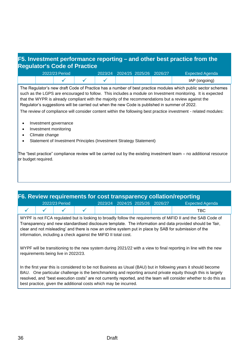## **F5. Investment performance reporting – and other best practice from the Regulator's Code of Practice**

|  | 2022/23 Period |  | 2023/24 2024/25 2025/26 2026/27 |  | <b>Expected Agenda</b> |
|--|----------------|--|---------------------------------|--|------------------------|
|  |                |  |                                 |  | IAP (ongoing)          |

The Regulator's new draft Code of Practice has a number of best practice modules which public sector schemes such as the LGPS are encouraged to follow. This includes a module on Investment monitoring. It is expected that the WYPR is already compliant with the majority of the recommendations but a review against the Regulator's suggestions will be carried out when the new Code is published in summer of 2022.

The review of compliance will consider content within the following best practice investment - related modules:

- Investment governance
- Investment monitoring
- Climate change
- Statement of Investment Principles (Investment Strategy Statement)

The "best practice" compliance review will be carried out by the existing investment team – no additional resource or budget required.

| F6. Review requirements for cost transparency collation/reporting                                                                                                                                                                                                                                                                                                                                    |  |                                                                  |  |  |  |  |  |                                                                                                                                                                                                                                                                                                                                                     |  |  |  |
|------------------------------------------------------------------------------------------------------------------------------------------------------------------------------------------------------------------------------------------------------------------------------------------------------------------------------------------------------------------------------------------------------|--|------------------------------------------------------------------|--|--|--|--|--|-----------------------------------------------------------------------------------------------------------------------------------------------------------------------------------------------------------------------------------------------------------------------------------------------------------------------------------------------------|--|--|--|
| 2024/25 2025/26 2026/27<br>2022/23 Period<br><b>Expected Agenda</b><br>2023/24                                                                                                                                                                                                                                                                                                                       |  |                                                                  |  |  |  |  |  |                                                                                                                                                                                                                                                                                                                                                     |  |  |  |
|                                                                                                                                                                                                                                                                                                                                                                                                      |  |                                                                  |  |  |  |  |  | TBC                                                                                                                                                                                                                                                                                                                                                 |  |  |  |
| WYPF is not FCA regulated but is looking to broadly follow the requirements of MiFID II and the SAB Code of<br>Transparency and new standardised disclosure template. The information and data provided should be 'fair,<br>clear and not misleading' and there is now an online system put in place by SAB for submission of the<br>information, including a check against the MiFID II total cost. |  |                                                                  |  |  |  |  |  |                                                                                                                                                                                                                                                                                                                                                     |  |  |  |
| WYPF will be transitioning to the new system during 2021/22 with a view to final reporting in line with the new<br>requirements being live in 2022/23.                                                                                                                                                                                                                                               |  |                                                                  |  |  |  |  |  |                                                                                                                                                                                                                                                                                                                                                     |  |  |  |
|                                                                                                                                                                                                                                                                                                                                                                                                      |  | best practice, given the additional costs which may be incurred. |  |  |  |  |  | In the first year this is considered to be not Business as Usual (BAU) but in following years it should become<br>BAU. One particular challenge is the benchmarking and reporting around private equity though this is largely<br>resolved, and "best execution costs" are not currently reported, and the team will consider whether to do this as |  |  |  |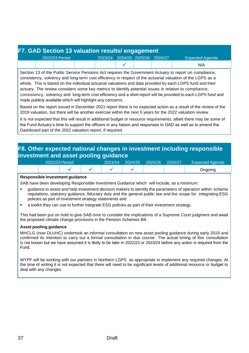|  | F7. GAD Section 13 valuation results/ engagement |                                 |  |                        |
|--|--------------------------------------------------|---------------------------------|--|------------------------|
|  | 2022/23 Period                                   | 2023/24 2024/25 2025/26 2026/27 |  | <b>Expected Agenda</b> |
|  |                                                  |                                 |  | N/A                    |

Section 13 of the Public Service Pensions Act requires the Government Actuary to report on compliance, consistency, solvency and long-term cost efficiency in respect of the actuarial valuation of the LGPS as a whole. This is based on the individual actuarial valuations and data provided by each LGPS fund and their actuary. The review considers some key metrics to identify potential issues in relation to compliance, consistency, solvency and long-term cost efficiency and a short report will be provided to each LGPS fund and made publicly available which will highlight any concerns.

Based on the report issued in December 2021 report there is no expected action as a result of the review of the 2019 valuation, but there will be another exercise within the next 5 years for the 2022 valuation review.

It is not expected that this will result in additional budget or resource requirements, albeit there may be some of the Fund Actuary's time to support the officers in any liaison and responses to GAD as well as to amend the Dashboard part of the 2022 valuation report, if required.

### **F8. Other expected national changes in investment including responsible investment and asset pooling guidance**

| 2022/23 Period |  | 2023/24 | 2024/25 | 2025/26 | 2026/27 | <b>Expected Agenda</b> |
|----------------|--|---------|---------|---------|---------|------------------------|
|                |  |         |         |         |         | Jngoing                |

#### **Responsible investment guidance**

SAB have been developing Responsible Investment Guidance which will include, as a minimum:

- guidance to assist and help investment decision makers to identify the parameters of operation within scheme regulations, statutory guidance, fiduciary duty and the general public law and the scope for integrating ESG policies as part of investment strategy statements and
- a toolkit they can use to further integrate ESG policies as part of their investment strategy.

This had been put on hold to give SAB time to consider the implications of a Supreme Court judgment and await the proposed climate change provisions in the Pension Schemes Bill.

#### **Asset pooling guidance**

MHCLG (now DLUHC) undertook an informal consultation on new asset pooling guidance during early 2019 and confirmed its intention to carry out a formal consultation in due course. The actual timing of this consultation is not known but we have assumed it is likely to be later in 2022/23 or 2023/24 before any action is required from the Fund.

WYPF will be working with our partners in Northern LGPS as appropriate to implement any required changes. At the time of writing it is not expected that there will need to be significant levels of additional resource or budget to deal with any changes.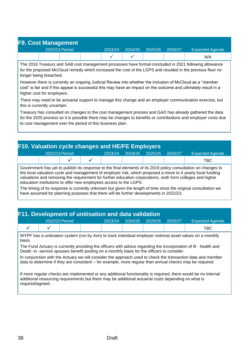|  | <b>F9. Cost Management</b> |         |         |         |         |                        |
|--|----------------------------|---------|---------|---------|---------|------------------------|
|  | 2022/23 Period             | 2023/24 | 2024/25 | 2025/26 | 2026/27 | <b>Expected Agenda</b> |
|  |                            |         |         |         |         | N/A                    |

The 2016 Treasury and SAB cost management processes have formal concluded in 2021 following allowance for the proposed McCloud remedy which increased the cost of the LGPS and resulted in the previous floor no longer being breached.

However there is currently an ongoing Judicial Review into whether the inclusion of McCloud as a "member cost" is fair and if this appeal is successful this may have an impact on the outcome and ultimately result in a higher cost for employers.

There may need to be actuarial support to manage this change and an employer communication exercise, but this is currently uncertain.

Treasury has consulted on changes to the cost management process and GAD has already gathered the data for the 2020 process so it is possible there may be changes to benefits or contributions and employer costs due to cost management over the period of this business plan.

| 2022/23 Period<br>2024/25<br>2023/24<br>2025/26<br>2026/27<br><b>Expected Agenda</b><br>TBC<br>Government has yet to publish its response to the final elements of its 2019 policy consultation on changes to<br>the local valuation cycle and management of employer risk, which proposed a move to 4 yearly local funding |
|-----------------------------------------------------------------------------------------------------------------------------------------------------------------------------------------------------------------------------------------------------------------------------------------------------------------------------|
|                                                                                                                                                                                                                                                                                                                             |
|                                                                                                                                                                                                                                                                                                                             |
| valuations and removing the requirement for further education corporations, sixth form colleges and higher<br>education institutions to offer new employees access to the LGPS.<br>The timing of its response is currently unknown but given the length of time since the eriginal consultation we                          |

The timing of its response is currently unknown but given the length of time since the original consultation we have assumed for planning purposes that there will be further developments in 2022/23.

## **F11. Development of unitisation and data validation**

|  | 2022/23 Period | 2023/24 | 2024/25 | 2025/26 | 2026/27 | <b>Expected Agenda</b> |
|--|----------------|---------|---------|---------|---------|------------------------|
|  |                |         |         |         |         | твс                    |

WYPF has a unitisation system (run by Aon) to track individual employer notional asset values on a monthly basis.

The Fund Actuary is currently providing the officers with advice regarding the incorporation of Ill - health and Death -in -service spouses benefit pooling on a monthly basis for the officers to consider.

In conjunction with the Actuary we will consider the approach used to check the transaction data and member data to determine if they are consistent – for example, more regular than annual checks may be required.

If more regular checks are implemented or any additional functionality is required, there would be no internal additional resourcing requirements but there may be additional actuarial costs depending on what is required/agreed.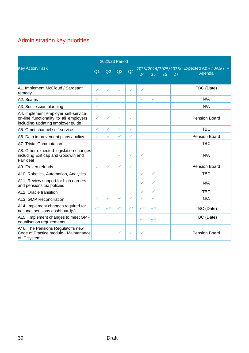## Administration key priorities

|                                                                                                                    |                |              | 2022/23 Period |                |                |                |    |    |                                                        |
|--------------------------------------------------------------------------------------------------------------------|----------------|--------------|----------------|----------------|----------------|----------------|----|----|--------------------------------------------------------|
| <b>Key Action/Task</b>                                                                                             | Q <sub>1</sub> | Q2           | Q3             | Q <sub>4</sub> | 24             | 25             | 26 | 27 | 2023/2024/2025/2026/ Expected A&R / JAG / IP<br>Agenda |
| A1. Implement McCloud / Sargeant<br>remedy                                                                         | $\checkmark$   | ✓            | ✓              | ✓              | ✓              |                |    |    | TBC (Date)                                             |
| A2. Scams                                                                                                          | $\checkmark$   |              |                |                | $\checkmark$   | ✓              |    |    | N/A                                                    |
| A3. Succession planning                                                                                            | $\checkmark$   |              |                |                |                |                |    |    | N/A                                                    |
| A4. Implement employer self-service<br>on-line functionality to all employers<br>including updating employer guide | $\checkmark$   | ✓            | ✓              | ✓              |                |                |    |    | Pension Board                                          |
| A5. Omni-channel self-service                                                                                      | $\checkmark$   | $\checkmark$ | $\checkmark$   | ✓              |                |                |    |    | <b>TBC</b>                                             |
| A6. Data improvement plans / policy                                                                                | $\checkmark$   | $\checkmark$ | ✓              | ✓              |                |                |    |    | Pension Board                                          |
| A7. Trivial Commutation                                                                                            |                |              |                |                |                |                |    |    | <b>TBC</b>                                             |
| A8. Other expected legislation changes<br>including Exit cap and Goodwin and<br>Fair deal                          |                |              | ✓              | ✓              | $\checkmark$   |                |    |    | N/A                                                    |
| A9. Frozen refunds                                                                                                 | $\checkmark$   | $\checkmark$ | ✓              | ✓              |                |                |    |    | <b>Pension Board</b>                                   |
| A10. Robotics, Automation, Analytics                                                                               |                |              |                |                | ✓              | ✓              |    |    | <b>TBC</b>                                             |
| A11. Review support for high earners<br>and pensions tax policies                                                  |                |              |                |                | ✓              | ✓              |    |    | N/A                                                    |
| A <sub>12</sub> . Oracle transition                                                                                |                |              |                |                | ✓              | ✓              |    |    | <b>TBC</b>                                             |
| A13. GMP Reconciliation                                                                                            | $\checkmark$   | $\checkmark$ | ✓              | $\checkmark$   | ✓              | ✓              |    |    | N/A                                                    |
| A14. Implement changes required for<br>national pensions dashboard(s)                                              | $\checkmark$   | $\checkmark$ | $\checkmark^*$ | $\checkmark$   | $\checkmark^*$ | $\checkmark^*$ |    |    | TBC (Date)                                             |
| A15. Implement changes to meet GMP<br>equalisation requirements                                                    |                |              |                |                | $\checkmark$   | $\checkmark$   |    |    | TBC (Date)                                             |
| A16. The Pensions Regulator's new<br>Code of Practice module - Maintenance<br>of IT systems                        |                |              | ✓              | ✓              | ✓              |                |    |    | <b>Pension Board</b>                                   |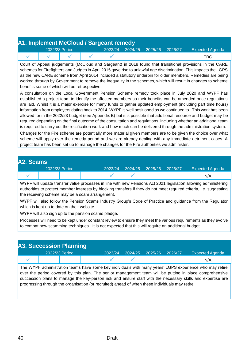| A1. Implement McCloud / Sargeant remedy |                |  |  |  |                                 |  |                        |  |  |  |  |
|-----------------------------------------|----------------|--|--|--|---------------------------------|--|------------------------|--|--|--|--|
|                                         | 2022/23 Period |  |  |  | 2023/24 2024/25 2025/26 2026/27 |  | <b>Expected Agenda</b> |  |  |  |  |
|                                         |                |  |  |  |                                 |  | TBC.                   |  |  |  |  |

Court of Appeal judgements (McCloud and Sargeant) in 2018 found that transitional provisions in the CARE schemes for Firefighters and Judges in April 2015 gave rise to unlawful age discrimination. This impacts the LGPS as the new CARE scheme from April 2014 included a statutory underpin for older members. Remedies are being worked through by Government to remove the inequality in the schemes, which will result in changes to scheme benefits some of which will be retrospective.

A consultation on the Local Government Pension Scheme remedy took place in July 2020 and WYPF has established a project team to identify the affected members so their benefits can be amended once regulations are laid. Whilst it is a major exercise for many funds to gather updated employment (including part time hours) information from employers dating back to 2014, WYPF is well positioned as we continued to . This work has been allowed for in the 2022/23 budget (see Appendix B) but it is possible that additional resource and budget may be required depending on the final outcome of the consultation and regulations, including whether an additional team is required to carry out the rectification work and how much can be delivered through the administration system.

Changes for the Fire scheme are potentially more material given members are to be given the choice over what scheme will apply over the remedy period and we are already dealing with any immediate detriment cases. A project team has been set up to manage the changes for the Fire authorities we administer.

| A2. Scams      |  |  |         |         |         |         |                        |     |
|----------------|--|--|---------|---------|---------|---------|------------------------|-----|
| 2022/23 Period |  |  | 2023/24 | 2024/25 | 2025/26 | 2026/27 | <b>Expected Agenda</b> |     |
|                |  |  |         |         |         |         |                        | N/A |

WYPF will update transfer value processes in line with new Pensions Act 2021 legislation allowing administering authorities to protect member interests by blocking transfers if they do not meet required criteria, i.e. suggesting the receiving scheme may be a scam arrangement.

WYPF will also follow the Pension Scams Industry Group's Code of Practice and guidance from the Regulator which is kept up to date on their website.

WYPF will also sign up to the pension scams pledge.

Processes will need to be kept under constant review to ensure they meet the various requirements as they evolve to combat new scamming techniques. It is not expected that this will require an additional budget.

| <b>A3. Succession Planning</b> |  |  |  |         |         |         |         |                        |  |
|--------------------------------|--|--|--|---------|---------|---------|---------|------------------------|--|
| 2022/23 Period                 |  |  |  | 2023/24 | 2024/25 | 2025/26 | 2026/27 | <b>Expected Agenda</b> |  |
|                                |  |  |  |         |         |         |         | N/A                    |  |

The WYPF administration teams have some key individuals with many years' LGPS experience who may retire over the period covered by this plan. The senior management team will be putting in place comprehensive succession plans to manage the key-person risk and ensure staff with the necessary skills and expertise are progressing through the organisation (or recruited) ahead of when these individuals may retire.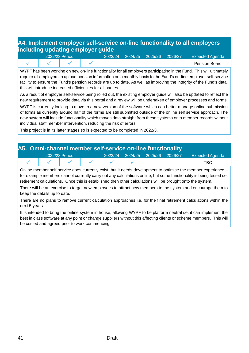## **A4. Implement employer self-service on-line functionality to all employers including updating employer guide**

|  | 2022/23 Period | 2023/24 | 2024/25 | 2025/26 | 2026/27 | <b>Expected Agenda</b> |
|--|----------------|---------|---------|---------|---------|------------------------|
|  |                |         |         |         |         | <b>Pension Board</b>   |

WYPF has been working on new on-line functionality for all employers participating in the Fund. This will ultimately require all employers to upload pension information on a monthly basis to the Fund's on-line employer self-service facility to ensure the Fund's pension records are up to date. As well as improving the integrity of the Fund's data, this will introduce increased efficiencies for all parties.

As a result of employer self-service being rolled out, the existing employer guide will also be updated to reflect the new requirement to provide data via this portal and a review will be undertaken of employer processes and forms.

WYPF is currently looking to move to a new version of the software which can better manage online submission of forms as currently around half of the forms are still submitted outside of the online self service approach. The new system will include functionality which moves data straight from these systems onto member records without individual staff member intervention, reducing the risk of errors.

This project is in its latter stages so is expected to be completed in 2022/3.

| A5. Omni-channel member self-service on-line functionality |                |  |  |         |  |                 |         |                        |  |  |  |
|------------------------------------------------------------|----------------|--|--|---------|--|-----------------|---------|------------------------|--|--|--|
|                                                            | 2022/23 Period |  |  | 2023/24 |  | 2024/25 2025/26 | 2026/27 | <b>Expected Agenda</b> |  |  |  |
|                                                            |                |  |  |         |  |                 |         | TBC.                   |  |  |  |

Online member self-service does currently exist, but it needs development to optimise the member experience – for example members cannot currently carry out any calculations online, but some functionality is being tested i.e. retirement calculations. Once this is established then other calculations will be brought onto the system.

There will be an exercise to target new employees to attract new members to the system and encourage them to keep the details up to date.

There are no plans to remove current calculation approaches i.e. for the final retirement calculations within the next 5 years.

It is intended to bring the online system in house, allowing WYPF to be platform neutral i.e. it can implement the best in class software at any point or change suppliers without this affecting clients or scheme members. This will be costed and agreed prior to work commencing.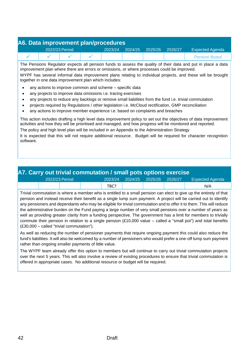| A6. Data improvement plan/procedures |                |  |  |         |         |         |         |                        |  |  |
|--------------------------------------|----------------|--|--|---------|---------|---------|---------|------------------------|--|--|
|                                      | 2022/23 Period |  |  | 2023/24 | 2024/25 | 2025/26 | 2026/27 | <b>Expected Agenda</b> |  |  |
|                                      |                |  |  |         |         |         |         | <b>Pension Board</b>   |  |  |

The Pensions Regulator expects all pension funds to assess the quality of their data and put in place a data improvement plan where there are errors or omissions, or where processes could be improved.

WYPF has several informal data improvement plans relating to individual projects, and these will be brought together in one data improvement plan which includes:

- any actions to improve common and scheme specific data
- any projects to improve data omissions i.e. tracing exercises
- any projects to reduce any backlogs or remove small liabilities from the fund i.e. trivial commutation
- projects required by Regulations / other legislation i.e. McCloud rectification, GMP reconciliation
- any actions to improve member experience i.e. based on complaints and breaches

This action includes drafting a high level data improvement policy to set out the objectives of data improvement activities and how they will be prioritised and managed, and how progress will be monitored and reported. The policy and high level plan will be included in an Appendix to the Administration Strategy

It is expected that this will not require additional resource. Budget will be required for character recognition software.

| <b>A7. Carry out trivial commutation / small pots options exercise</b> |  |  |  |         |  |                         |  |                        |  |  |
|------------------------------------------------------------------------|--|--|--|---------|--|-------------------------|--|------------------------|--|--|
| 2022/23 Period                                                         |  |  |  | 2023/24 |  | 2024/25 2025/26 2026/27 |  | <b>Expected Agenda</b> |  |  |
|                                                                        |  |  |  | TBC?    |  |                         |  | N/A                    |  |  |

Trivial commutation is where a member who is entitled to a small pension can elect to give up the entirety of that pension and instead receive their benefit as a single lump sum payment. A project will be carried out to identify any pensioners and dependants who may be eligible for trivial commutation and to offer it to them. This will reduce the administrative burden on the Fund paying a large number of very small pensions over a number of years as well as providing greater clarity from a funding perspective. The government has a limit for members to trivially commute their pension in relation to a single pension (£10,000 value – called a "small pot") and total benefits (£30,000 – called "trivial commutation").

As well as reducing the number of pensioner payments that require ongoing payment this could also reduce the fund's liabilities. It will also be welcomed by a number of pensioners who would prefer a one-off lump sum payment rather than ongoing smaller payments of little value.

The WYPF team already offer this option to members but will continue to carry out trivial commutation projects over the next 5 years. This will also involve a review of existing procedures to ensure that trivial commutation is offered in appropriate cases. No additional resource or budget will be required.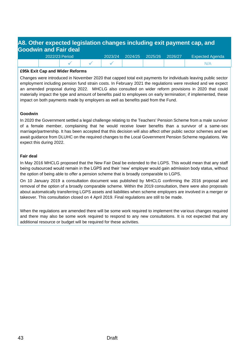## **A8. Other expected legislation changes including exit payment cap, and Goodwin and Fair deal**

| 2022/23 Period |  | 2023/24 | 2024/25 2025/26 | 2026/27 | <b>Expected Agenda</b> |
|----------------|--|---------|-----------------|---------|------------------------|
|                |  |         |                 |         |                        |

#### **£95k Exit Cap and Wider Reforms**

Changes were introduced in November 2020 that capped total exit payments for individuals leaving public sector employment including pension fund strain costs. In February 2021 the regulations were revoked and we expect an amended proposal during 2022. MHCLG also consulted on wider reform provisions in 2020 that could materially impact the type and amount of benefits paid to employees on early termination; if implemented, these impact on both payments made by employers as well as benefits paid from the Fund.

#### **Goodwin**

In 2020 the Government settled a legal challenge relating to the Teachers' Pension Scheme from a male survivor of a female member, complaining that he would receive lower benefits than a survivor of a same-sex marriage/partnership. It has been accepted that this decision will also affect other public sector schemes and we await guidance from DLUHC on the required changes to the Local Government Pension Scheme regulations. We expect this during 2022.

#### **Fair deal**

In May 2016 MHCLG proposed that the New Fair Deal be extended to the LGPS. This would mean that any staff being outsourced would remain in the LGPS and their 'new' employer would gain admission body status, without the option of being able to offer a pension scheme that is broadly comparable to LGPS.

On 10 January 2019 a consultation document was published by MHCLG confirming the 2016 proposal and removal of the option of a broadly comparable scheme. Within the 2019 consultation, there were also proposals about automatically transferring LGPS assets and liabilities when scheme employers are involved in a merger or takeover. This consultation closed on 4 April 2019. Final regulations are still to be made.

When the regulations are amended there will be some work required to implement the various changes required and there may also be some work required to respond to any new consultations. It is not expected that any additional resource or budget will be required for these activities.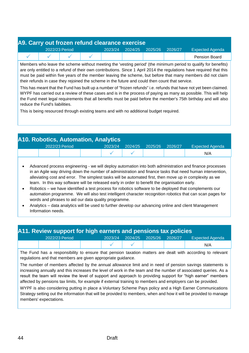| A9. Carry out frozen refund clearance exercise |                |  |  |         |         |         |         |                        |  |  |
|------------------------------------------------|----------------|--|--|---------|---------|---------|---------|------------------------|--|--|
|                                                | 2022/23 Period |  |  | 2023/24 | 2024/25 | 2025/26 | 2026/27 | <b>Expected Agenda</b> |  |  |
|                                                |                |  |  |         |         |         |         | <b>Pension Board</b>   |  |  |

Members who leave the scheme without meeting the 'vesting period' (the minimum period to qualify for benefits) are only entitled to a refund of their own contributions. Since 1 April 2014 the regulations have required that this must be paid within five years of the member leaving the scheme, but before that many members did not claim their refunds in case they rejoined the scheme in the future and could then count that service.

This has meant that the Fund has built up a number of "frozen refunds" i.e. refunds that have not yet been claimed. WYPF has carried out a review of these cases and is in the process of paying as many as possible. This will help the Fund meet legal requirements that all benefits must be paid before the member's 75th birthday and will also reduce the Fund's liabilities.

This is being resourced through existing teams and with no additional budget required.

| <b>A10. Robotics, Automation, Analytics</b> |  |  |         |         |         |         |                        |  |  |  |  |
|---------------------------------------------|--|--|---------|---------|---------|---------|------------------------|--|--|--|--|
| 2022/23 Period                              |  |  | 2023/24 | 2024/25 | 2025/26 | 2026/27 | <b>Expected Agenda</b> |  |  |  |  |
|                                             |  |  |         |         |         |         | N/A                    |  |  |  |  |
|                                             |  |  |         |         |         |         |                        |  |  |  |  |

- Advanced process engineering we will deploy automation into both administration and finance processes in an Agile way driving down the number of administration and finance tasks that need human intervention, alleviating cost and error. The simplest tasks will be automated first, then move up in complexity as we learn. In this way software will be released early in order to benefit the organisation early.
- Robotics we have identified a test process for robotics software to be deployed that complements our automation programme. We will also test intelligent character recognition robotics that can scan pages for words and phrases to aid our data quality programme.
- Analytics data analytics will be used to further develop our advancing online and client Management Information needs.

### **A11. Review support for high earners and pensions tax policies**

|  | 2022/23 Period |  | 2023/24 2024/25 2025/26 2026/27 | <b>Expected Agenda</b> |  |
|--|----------------|--|---------------------------------|------------------------|--|
|  |                |  |                                 | N/A                    |  |

The Fund has a responsibility to ensure that pension taxation matters are dealt with according to relevant regulations and that members are given appropriate guidance.

The number of members affected by the annual allowance limit and in need of pension savings statements is increasing annually and this increases the level of work in the team and the number of associated queries. As a result the team will review the level of support and approach to providing support for "high earner" members affected by pensions tax limits, for example if external training to members and employers can be provided.

WYPF is also considering putting in place a Voluntary Scheme Pays policy and a High Earner Communications Strategy setting out the information that will be provided to members, when and how it will be provided to manage members' expectations.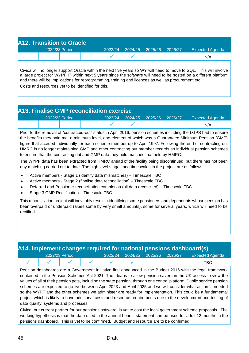| <b>A12. Transition to Oracle</b> |  |                |  |         |         |         |         |                        |  |  |  |
|----------------------------------|--|----------------|--|---------|---------|---------|---------|------------------------|--|--|--|
|                                  |  | 2022/23 Period |  | 2023/24 | 2024/25 | 2025/26 | 2026/27 | <b>Expected Agenda</b> |  |  |  |
|                                  |  |                |  |         |         |         |         | N/A                    |  |  |  |

Civica will no longer support Oracle within the next five years so WY will need to move to SQL. This will involve a large project for WYPF IT within next 5 years since the software will need to be hosted on a different platform and there will be implications for reprogramming, training and licences as well as procurement etc.

Costs and resources yet to be identified for this.

## **A13. Finalise GMP reconciliation exercise**

|  | 2022/23 Period | 2023/24 | 2024/25 2025/26 | 2026/27 | <b>Expected Agenda</b> |
|--|----------------|---------|-----------------|---------|------------------------|
|  |                |         |                 |         | N/A                    |

Prior to the removal of "contracted-out" status in April 2016, pension schemes including the LGPS had to ensure the benefits they paid met a minimum level, one element of which was a Guaranteed Minimum Pension (GMP) figure that accrued individually for each scheme member up to April 1997. Following the end of contracting out HMRC is no longer maintaining GMP and other contracting out member records so individual pension schemes to ensure that the contracting out and GMP data they hold matches that held by HMRC.

The WYPF data has been extracted from HMRC ahead of the facility being discontinued, but there has not been any matching carried out to date. The high level stages and timescales in the project are as follows:

- Active members Stage 1 (identify data mismatches) Timescale TBC
- Active members Stage 2 (finalise data reconciliation) Timescale TBC
- Deferred and Pensioner reconciliation completion (all data reconciled) Timescale TBC
- Stage 3 GMP Rectification Timescale TBC

This reconciliation project will inevitably result in identifying some pensioners and dependents whose pension has been overpaid or underpaid (albeit some by very small amounts), some for several years, which will need to be rectified.

|                | A14. Implement changes required for national pensions dashboard(s) |  |  |         |  |                         |  |                        |  |  |  |  |
|----------------|--------------------------------------------------------------------|--|--|---------|--|-------------------------|--|------------------------|--|--|--|--|
| 2022/23 Period |                                                                    |  |  | 2023/24 |  | 2024/25 2025/26 2026/27 |  | <b>Expected Agenda</b> |  |  |  |  |
|                |                                                                    |  |  |         |  |                         |  | TBC.                   |  |  |  |  |

Pension dashboards are a Government initiative first announced in the Budget 2016 with the legal framework contained in the Pension Schemes Act 2021. The idea is to allow pension savers in the UK access to view the values of all of their pension pots, including the state pension, through one central platform. Public service pension schemes are expected to go live between April 2023 and April 2025 and we will consider what action is needed so the WYPF and the other schemes we administer are ready for implementation. This could be a fundamental project which is likely to have additional costs and resource requirements due to the development and testing of data quality, systems and processes.

Civica, our current partner for our pensions software, is yet to cost the local government scheme proposals. The working hypothesis is that the data used in the annual benefit statement can be used for a full 12 months in the pensions dashboard. This is yet to be confirmed. Budget and resource are to be confirmed.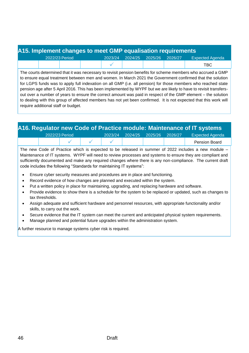## **A15. Implement changes to meet GMP equalisation requirements**

| 2022/23 Period | 2023/24 | 2024/25 | 2025/26 | 2026/27 | <b>Expected Agenda</b> |
|----------------|---------|---------|---------|---------|------------------------|
|                |         |         |         |         | TBC                    |

The courts determined that it was necessary to revisit pension benefits for scheme members who accrued a GMP to ensure equal treatment between men and women. In March 2021 the Government confirmed that the solution for LGPS funds was to apply full indexation on all GMP (i.e. all pension) for those members who reached state pension age after 5 April 2016. This has been implemented by WYPF but we are likely to have to revisit transfersout over a number of years to ensure the correct amount was paid in respect of the GMP element – the solution to dealing with this group of affected members has not yet been confirmed. It is not expected that this work will require additional staff or budget.

|                |  |         |                   |         | A16. Regulator new Code of Practice module: Maintenance of IT systems |
|----------------|--|---------|-------------------|---------|-----------------------------------------------------------------------|
| 2022/23 Period |  | 2023/24 | $2024/25$ 2025/26 | 2026/27 | <b>Expected Agenda</b>                                                |
|                |  |         |                   |         | <b>Pension Board</b>                                                  |

The new Code of Practice which is expected to be released in summer of 2022 includes a new module – Maintenance of IT systems. WYPF will need to review processes and systems to ensure they are compliant and sufficiently documented and make any required changes where there is any non-compliance. The current draft code includes the following "Standards for maintaining IT systems":

- Ensure cyber security measures and procedures are in place and functioning.
- Record evidence of how changes are planned and executed within the system.
- Put a written policy in place for maintaining, upgrading, and replacing hardware and software.
- Provide evidence to show there is a schedule for the system to be replaced or updated, such as changes to tax thresholds.
- Assign adequate and sufficient hardware and personnel resources, with appropriate functionality and/or skills, to carry out the work.
- Secure evidence that the IT system can meet the current and anticipated physical system requirements.
- Manage planned and potential future upgrades within the administration system.

A further resource to manage systems cyber risk is required.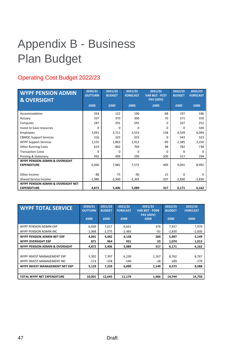## <span id="page-46-0"></span>Appendix B - Business Plan Budget

## Operating Cost Budget 2022/23

| <b>WYPF PENSION ADMIN</b><br><b>&amp; OVERSIGHT</b>                 | 2020/21<br><b>OUTTURN</b> | 2021/22<br><b>BUDGET</b> | 2021/22<br><b>FORECAST</b> | 2021/22<br><b>VAR BGT - FCST</b><br><b>FAV (ADV)</b> | 2022/23<br><b>BUDGET</b> | 2022/23<br><b>FORECAST</b> |
|---------------------------------------------------------------------|---------------------------|--------------------------|----------------------------|------------------------------------------------------|--------------------------|----------------------------|
|                                                                     | £000                      | £000                     | £000                       | £000                                                 | £000                     | £000                       |
| Accommodation                                                       | 263                       | 122                      | 190                        | $-68$                                                | 197                      | 186                        |
| Actuary                                                             | 337                       | 370                      | 300                        | 70                                                   | 371                      | 350                        |
| Computer                                                            | 287                       | 291                      | 291                        | <sup>0</sup>                                         | 267                      | 252                        |
| <b>Invest to Save resources</b>                                     | 0                         | 0                        | $\Omega$                   | 0                                                    | $\Omega$                 | 500                        |
| <b>Employees</b>                                                    | 3,091                     | 3,711                    | 3,553                      | 158                                                  | 4,339                    | 4,094                      |
| <b>CBMDC Support Services</b>                                       | 316                       | 323                      | 323                        | 0                                                    | 343                      | 323                        |
| <b>WYPF Support Services</b>                                        | 1,535                     | 1,863                    | 1,912                      | $-49$                                                | 2,385                    | 2,250                      |
| <b>Other Running Costs</b>                                          | 619                       | 802                      | 704                        | 98                                                   | 782                      | 738                        |
| <b>Transaction Costs</b>                                            | $\Omega$                  | 0                        | 0                          | 0                                                    | $\Omega$                 | 0                          |
| <b>Printing &amp; Stationery</b>                                    | 492                       | 499                      | 299                        | 200                                                  | 317                      | 299                        |
| <b>WYPF PENSION ADMIN &amp; OVERSIGHT</b><br><b>EXPENDITURE</b>     | 6,940                     | 7,981                    | 7,572                      | 409                                                  | 9,001                    | 8,992                      |
| Other Income                                                        | $-88$                     | $-75$                    | $-90$                      | 15                                                   | $\Omega$                 | $\Omega$                   |
| Shared Service Income                                               | $-1,980$                  | $-2,500$                 | $-2,393$                   | $-107$                                               | $-2,830$                 | $-2,830$                   |
| <b>WYPF PENSION ADMIN &amp; OVERSIGHT NET</b><br><b>EXPENDITURE</b> | 4,872                     | 5,406                    | 5,089                      | 317                                                  | 6,171                    | 6,162                      |

| <b>WYPF TOTAL SERVICE</b>                                | 2020/21<br><b>OUTTURN</b><br>£000 | 2021/22<br><b>BUDGET</b><br>£000 | 2021/22<br><b>FORECAST</b><br>£000 | 2021/22<br><b>VAR BGT - PD09</b><br><b>FAV (ADV)</b><br>£000 | 2022/23<br><b>BUDGET</b><br>£000 | 2022/23<br><b>FORECAST</b><br>£000 |
|----------------------------------------------------------|-----------------------------------|----------------------------------|------------------------------------|--------------------------------------------------------------|----------------------------------|------------------------------------|
| WYPE PENSION ADMIN EXP<br>WYPF PENSION ADMIN INC         | 6,069<br>$-2,068$                 | 7,017<br>$-2,575$                | 6,641<br>$-2,483$                  | 376<br>$-92$                                                 | 7,927<br>$-2,830$                | 7,979<br>$-2,830$                  |
| WYPE PENSION ADMIN NET EXP<br><b>WYPF OVERSIGHT EXP</b>  | 4,001<br>871                      | 4,442<br>964                     | 4,158<br>931                       | 284<br>33                                                    | 5,097<br>1,074                   | 5,149<br>1,013                     |
| <b>WYPE PENSION ADMIN &amp; OVERSIGHT</b>                | 4,872                             | 5,406                            | 5,089                              | 317                                                          | 6,171                            | 6,162                              |
| WYPF INVEST MANAGEMENT EXP<br>WYPF INVEST MANAGEMENT INC | 5,302<br>$-173$                   | 7,397<br>$-158$                  | 6,230<br>$-140$                    | 1,167<br>$-18$                                               | 8,762<br>$-189$                  | 8,767<br>$-179$                    |
| WYPF INVEST MANAGEMENT NET EXP                           | 5,129                             | 7,239                            | 6,090                              | 1,149                                                        | 8,573                            | 8,588                              |
|                                                          |                                   |                                  |                                    |                                                              |                                  |                                    |
| <b>TOTAL WYPF NET EXPENDITURE</b>                        | 10.001                            | 12.645                           | 11.179                             | 1,466                                                        | 14.744                           | 14,750                             |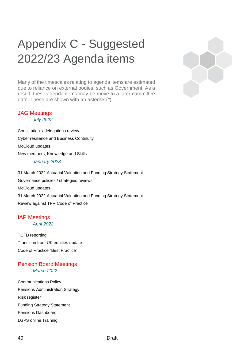## <span id="page-48-0"></span>Appendix C - Suggested 2022/23 Agenda items

Many of the timescales relating to agenda items are estimated due to reliance on external bodies, such as Government. As a result, these agenda items may be move to a later committee date. These are shown with an asterisk (\*).

#### JAG Meetings *July 2022*

Constitution / delegations review Cyber resilience and Business Continuity McCloud updates New members, Knowledge and Skills *January 2023*

31 March 2022 Actuarial Valuation and Funding Strategy Statement Governance policies / strategies reviews McCloud updates 31 March 2022 Actuarial Valuation and Funding Strategy Statement Review against TPR Code of Practice

#### IAP Meetings *April 2022*

TCFD reporting Transition from UK equities update Code of Practice "Best Practice"

### Pension Board Meetings *March 2022*

Communications Policy Pensions Administration Strategy Risk register Funding Strategy Statement Pensions Dashboard LGPS online Training

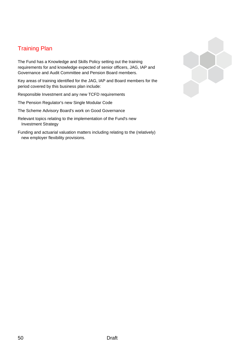## Training Plan

The Fund has a Knowledge and Skills Policy setting out the training requirements for and knowledge expected of senior officers, JAG, IAP and Governance and Audit Committee and Pension Board members.

Key areas of training identified for the JAG, IAP and Board members for the period covered by this business plan include:

Responsible Investment and any new TCFD requirements

The Pension Regulator's new Single Modular Code

The Scheme Advisory Board's work on Good Governance

Relevant topics relating to the implementation of the Fund's new Investment Strategy

Funding and actuarial valuation matters including relating to the (relatively) new employer flexibility provisions.

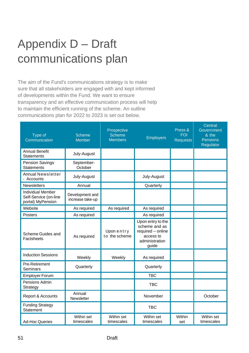## <span id="page-50-0"></span>Appendix D – Draft communications plan

The aim of the Fund's communications strategy is to make sure that all stakeholders are engaged with and kept informed of developments within the Fund. We want to ensure transparency and an effective communication process will help to maintain the efficient running of the scheme. An outline communications plan for 2022 to 2023 is set out below.

| Type of<br>Communication                                               | <b>Scheme</b><br><b>Member</b>      | Prospective<br>Scheme<br><b>Members</b> | <b>Employers</b>                                                                                | Press &<br><b>FOI</b><br><b>Requests</b> | Central<br>Government<br>& the<br><b>Pensions</b><br>Regulator |
|------------------------------------------------------------------------|-------------------------------------|-----------------------------------------|-------------------------------------------------------------------------------------------------|------------------------------------------|----------------------------------------------------------------|
| <b>Annual Benefit</b><br><b>Statements</b>                             | July-August                         |                                         |                                                                                                 |                                          |                                                                |
| <b>Pension Savings</b><br><b>Statements</b>                            | September-<br>October               |                                         |                                                                                                 |                                          |                                                                |
| <b>Annual Newsletter</b><br>- Accounts                                 | July-August                         |                                         | July-August                                                                                     |                                          |                                                                |
| Newsletters                                                            | Annual                              |                                         | Quarterly                                                                                       |                                          |                                                                |
| <b>Individual Member</b><br>Self-Service (on-line<br>portal) MyPension | Development and<br>increase take-up |                                         |                                                                                                 |                                          |                                                                |
| Website                                                                | As required                         | As required                             | As required                                                                                     |                                          |                                                                |
| <b>Posters</b>                                                         | As required                         |                                         | As required                                                                                     |                                          |                                                                |
| Scheme Guides and<br>Factsheets                                        | As required                         | Uponentry<br>to the scheme              | Upon entry to the<br>scheme and as<br>required - online<br>access to<br>administration<br>guide |                                          |                                                                |
| <b>Induction Sessions</b>                                              | Weekly                              | Weekly                                  | As required                                                                                     |                                          |                                                                |
| Pre-Retirement<br>Seminars                                             | Quarterly                           |                                         | Quarterly                                                                                       |                                          |                                                                |
| <b>Employer Forum</b>                                                  |                                     |                                         | <b>TBC</b>                                                                                      |                                          |                                                                |
| Pensions Admin<br>Strategy                                             |                                     |                                         | <b>TBC</b>                                                                                      |                                          |                                                                |
| Report & Accounts                                                      | Annual<br>Newsletter                |                                         | November                                                                                        |                                          | October                                                        |
| <b>Funding Strategy</b><br>Statement                                   |                                     |                                         | <b>TBC</b>                                                                                      |                                          |                                                                |
| <b>Ad-Hoc Queries</b>                                                  | Within set<br>timescales            | Within set<br>timescales                | Within set<br>timescales                                                                        | Within<br>set                            | Within set<br>timescales                                       |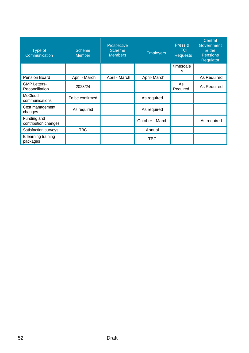| Type of<br>Communication              | <b>Scheme</b><br><b>Member</b> | Prospective<br><b>Scheme</b><br><b>Members</b> | <b>Employers</b> | Press &<br><b>FOI</b><br><b>Requests</b> | Central<br>Government<br>& the<br>Pensions<br>Regulator |
|---------------------------------------|--------------------------------|------------------------------------------------|------------------|------------------------------------------|---------------------------------------------------------|
|                                       |                                |                                                |                  | timescale<br>S                           |                                                         |
| <b>Pension Board</b>                  | April - March                  | April - March                                  | April-March      |                                          | As Required                                             |
| <b>GMP Letters-</b><br>Reconciliation | 2023/24                        |                                                |                  | As<br>Required                           | As Required                                             |
| <b>McCloud</b><br>communications      | To be confirmed                |                                                | As required      |                                          |                                                         |
| Cost management<br>changes            | As required                    |                                                | As required      |                                          |                                                         |
| Funding and<br>contribution changes   |                                |                                                | October - March  |                                          | As required                                             |
| Satisfaction surveys                  | <b>TBC</b>                     |                                                | Annual           |                                          |                                                         |
| E learning training<br>packages       |                                |                                                | TBC              |                                          |                                                         |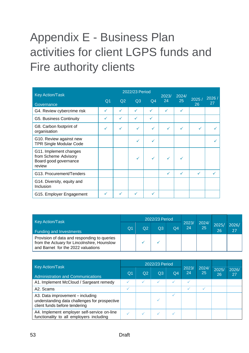## <span id="page-52-0"></span>Appendix E - Business Plan activities for client LGPS funds and Fire authority clients

| <b>Key Action/Task</b>                                                            |                |    | 2022/23 Period |              | 2023/        | 2024/ |             |              |
|-----------------------------------------------------------------------------------|----------------|----|----------------|--------------|--------------|-------|-------------|--------------|
| Governance                                                                        | Q <sub>1</sub> | Q2 | Q <sub>3</sub> | Q4           | 24           | 25    | 2025/<br>26 | 2026 /<br>27 |
| G4. Review cybercrime risk                                                        |                |    | ✓              |              |              |       |             |              |
| G5. Business Continuity                                                           | ✓              | ✓  | ✓              | ✓            |              |       |             |              |
| G8. Carbon footprint of<br>organisation                                           |                | ✓  | ✓              | $\checkmark$ | ✓            |       | ✓           | ✓            |
| G10. Review against new<br><b>TPR Single Modular Code</b>                         |                |    | ✓              | $\checkmark$ |              |       |             |              |
| G11. Implement changes<br>from Scheme Advisory<br>Board good governance<br>review |                |    | $\checkmark$   | ✓            | $\checkmark$ |       |             |              |
| G13. Procurement/Tenders                                                          |                |    |                |              | ✓            | ✓     | ✓           | ✓            |
| G14. Diversity, equity and<br>Inclusion                                           |                |    |                |              |              |       |             |              |
| G15. Employer Engagement                                                          |                | ✓  | ✓              | ✓            |              |       |             |              |

|                                                                                                                                  |  |    | 2022/23 Period |                 |             |                       |             |             |
|----------------------------------------------------------------------------------------------------------------------------------|--|----|----------------|-----------------|-------------|-----------------------|-------------|-------------|
| <b>Key Action/Task</b><br>Funding and Investments                                                                                |  | Q2 | Q3             | $\overline{O4}$ | 2023/<br>24 | 2024/<br>$25^{\circ}$ | 2025/<br>26 | 2026/<br>27 |
| Provision of data and responding to queries<br>from the Actuary for Lincolnshire, Hounslow<br>and Barnet for the 2022 valuations |  |    |                |                 |             |                       |             |             |

| <b>Key Action/Task</b><br>Administration and Communications                                                        |  |                | 2022/23 Period |                |             |             |             |             |
|--------------------------------------------------------------------------------------------------------------------|--|----------------|----------------|----------------|-------------|-------------|-------------|-------------|
|                                                                                                                    |  | Q <sub>2</sub> | Q3             | Q <sub>4</sub> | 2023/<br>24 | 2024/<br>25 | 2025/<br>26 | 2026/<br>27 |
| A1. Implement McCloud / Sargeant remedy                                                                            |  |                |                |                |             |             |             |             |
| A2. Scams                                                                                                          |  |                |                |                |             |             |             |             |
| A3. Data improvement - including<br>understanding data challenges for prospective<br>client funds before tendering |  |                |                |                |             |             |             |             |
| A4. Implement employer self-service on-line<br>functionality to all employers including                            |  |                |                |                |             |             |             |             |